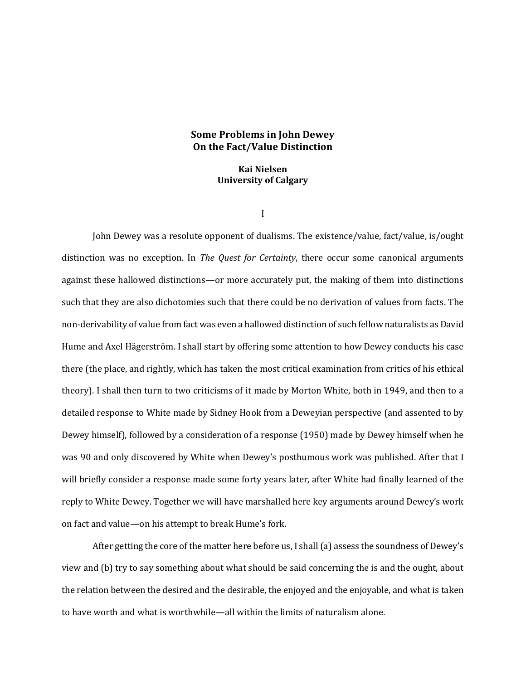# **Some Problems in John Dewey On the Fact/Value Distinction**

**Kai Nielsen University of Calgary**

I

John Dewey was a resolute opponent of dualisms. The existence/value, fact/value, is/ought distinction was no exception. In *The Quest for Certainty*, there occur some canonical arguments against these hallowed distinctions—or more accurately put, the making of them into distinctions such that they are also dichotomies such that there could be no derivation of values from facts. The non-derivability of value from fact was even a hallowed distinction of such fellow naturalists as David Hume and Axel Hägerström. I shall start by offering some attention to how Dewey conducts his case there (the place, and rightly, which has taken the most critical examination from critics of his ethical theory). I shall then turn to two criticisms of it made by Morton White, both in 1949, and then to a detailed response to White made by Sidney Hook from a Deweyian perspective (and assented to by Dewey himself), followed by a consideration of a response (1950) made by Dewey himself when he was 90 and only discovered by White when Dewey's posthumous work was published. After that I will briefly consider a response made some forty years later, after White had finally learned of the reply to White Dewey. Together we will have marshalled here key arguments around Dewey's work on fact and value—on his attempt to break Hume's fork.

After getting the core of the matter here before us, I shall (a) assess the soundness of Dewey's view and (b) try to say something about what should be said concerning the is and the ought, about the relation between the desired and the desirable, the enjoyed and the enjoyable, and what is taken to have worth and what is worthwhile—all within the limits of naturalism alone.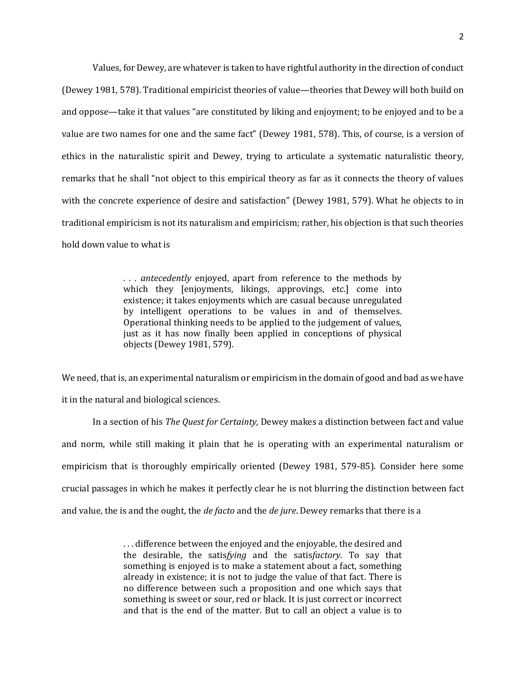Values, for Dewey, are whatever is taken to have rightful authority in the direction of conduct (Dewey 1981, 578). Traditional empiricist theories of value—theories that Dewey will both build on and oppose—take it that values "are constituted by liking and enjoyment; to be enjoyed and to be a value are two names for one and the same fact" (Dewey 1981, 578). This, of course, is a version of ethics in the naturalistic spirit and Dewey, trying to articulate a systematic naturalistic theory, remarks that he shall "not object to this empirical theory as far as it connects the theory of values with the concrete experience of desire and satisfaction" (Dewey 1981, 579). What he objects to in traditional empiricism is not its naturalism and empiricism; rather, his objection is that such theories hold down value to what is

> *. . . antecedently* enjoyed, apart from reference to the methods by which they [enjoyments, likings, approvings, etc.] come into existence; it takes enjoyments which are casual because unregulated by intelligent operations to be values in and of themselves. Operational thinking needs to be applied to the judgement of values, just as it has now finally been applied in conceptions of physical objects (Dewey 1981, 579).

We need, that is, an experimental naturalism or empiricism in the domain of good and bad as we have it in the natural and biological sciences.

In a section of his *The Quest for Certainty,* Dewey makes a distinction between fact and value and norm, while still making it plain that he is operating with an experimental naturalism or empiricism that is thoroughly empirically oriented (Dewey 1981, 579-85). Consider here some crucial passages in which he makes it perfectly clear he is not blurring the distinction between fact and value, the is and the ought, the *de facto* and the *de jure*. Dewey remarks that there is a

> . . . difference between the enjoyed and the enjoyable, the desired and the desirable, the satis*fying* and the satis*factory*. To say that something is enjoyed is to make a statement about a fact, something already in existence; it is not to judge the value of that fact. There is no difference between such a proposition and one which says that something is sweet or sour, red or black. It is just correct or incorrect and that is the end of the matter. But to call an object a value is to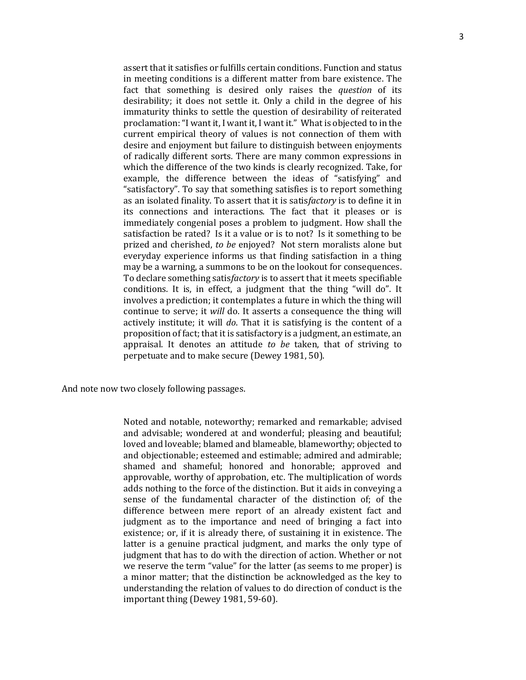assert that it satisfies or fulfills certain conditions. Function and status in meeting conditions is a different matter from bare existence. The fact that something is desired only raises the *question* of its desirability; it does not settle it. Only a child in the degree of his immaturity thinks to settle the question of desirability of reiterated proclamation: "I want it, I want it, I want it." What is objected to in the current empirical theory of values is not connection of them with desire and enjoyment but failure to distinguish between enjoyments of radically different sorts. There are many common expressions in which the difference of the two kinds is clearly recognized. Take, for example, the difference between the ideas of "satisfying" and "satisfactory". To say that something satisfies is to report something as an isolated finality. To assert that it is satis*factory* is to define it in its connections and interactions. The fact that it pleases or is immediately congenial poses a problem to judgment. How shall the satisfaction be rated? Is it a value or is to not? Is it something to be prized and cherished, *to be* enjoyed? Not stern moralists alone but everyday experience informs us that finding satisfaction in a thing may be a warning, a summons to be on the lookout for consequences. To declare something satis*factory* is to assert that it meets specifiable conditions. It is, in effect, a judgment that the thing "will do". It involves a prediction; it contemplates a future in which the thing will continue to serve; it *will* do. It asserts a consequence the thing will actively institute; it will *do*. That it is satisfying is the content of a proposition of fact; that it is satisfactory is a judgment, an estimate, an appraisal. It denotes an attitude *to be* taken, that of striving to perpetuate and to make secure (Dewey 1981, 50).

And note now two closely following passages.

Noted and notable, noteworthy; remarked and remarkable; advised and advisable; wondered at and wonderful; pleasing and beautiful; loved and loveable; blamed and blameable, blameworthy; objected to and objectionable; esteemed and estimable; admired and admirable; shamed and shameful; honored and honorable; approved and approvable, worthy of approbation, etc. The multiplication of words adds nothing to the force of the distinction. But it aids in conveying a sense of the fundamental character of the distinction of; of the difference between mere report of an already existent fact and judgment as to the importance and need of bringing a fact into existence; or, if it is already there, of sustaining it in existence. The latter is a genuine practical judgment, and marks the only type of judgment that has to do with the direction of action. Whether or not we reserve the term "value" for the latter (as seems to me proper) is a minor matter; that the distinction be acknowledged as the key to understanding the relation of values to do direction of conduct is the important thing (Dewey 1981, 59-60).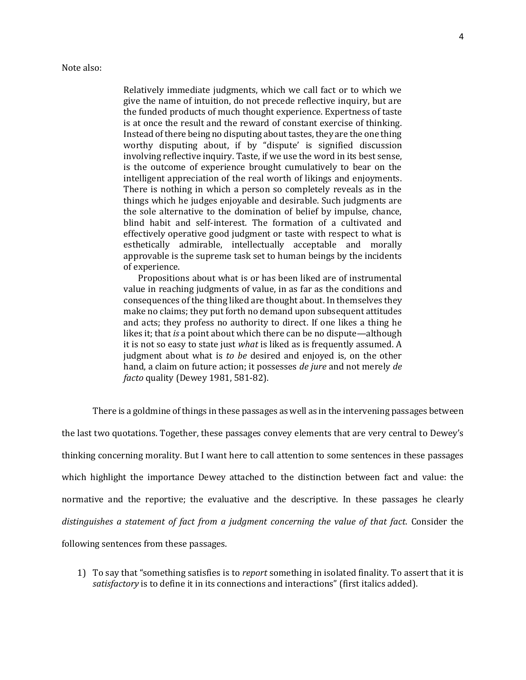Relatively immediate judgments, which we call fact or to which we give the name of intuition, do not precede reflective inquiry, but are the funded products of much thought experience. Expertness of taste is at once the result and the reward of constant exercise of thinking. Instead of there being no disputing about tastes, they are the one thing worthy disputing about, if by "dispute' is signified discussion involving reflective inquiry. Taste, if we use the word in its best sense, is the outcome of experience brought cumulatively to bear on the intelligent appreciation of the real worth of likings and enjoyments. There is nothing in which a person so completely reveals as in the things which he judges enjoyable and desirable. Such judgments are the sole alternative to the domination of belief by impulse, chance, blind habit and self-interest. The formation of a cultivated and effectively operative good judgment or taste with respect to what is esthetically admirable, intellectually acceptable and morally approvable is the supreme task set to human beings by the incidents of experience.

 Propositions about what is or has been liked are of instrumental value in reaching judgments of value, in as far as the conditions and consequences of the thing liked are thought about. In themselves they make no claims; they put forth no demand upon subsequent attitudes and acts; they profess no authority to direct. If one likes a thing he likes it; that *is* a point about which there can be no dispute—although it is not so easy to state just *what* is liked as is frequently assumed. A judgment about what is *to be* desired and enjoyed is, on the other hand, a claim on future action; it possesses *de jure* and not merely *de facto* quality (Dewey 1981, 581-82).

There is a goldmine of things in these passages as well as in the intervening passages between

the last two quotations. Together, these passages convey elements that are very central to Dewey's thinking concerning morality. But I want here to call attention to some sentences in these passages which highlight the importance Dewey attached to the distinction between fact and value: the normative and the reportive; the evaluative and the descriptive. In these passages he clearly *distinguishes a statement of fact from a judgment concerning the value of that fact.* Consider the following sentences from these passages.

1) To say that "something satisfies is to *report* something in isolated finality. To assert that it is *satisfactory* is to define it in its connections and interactions" (first italics added).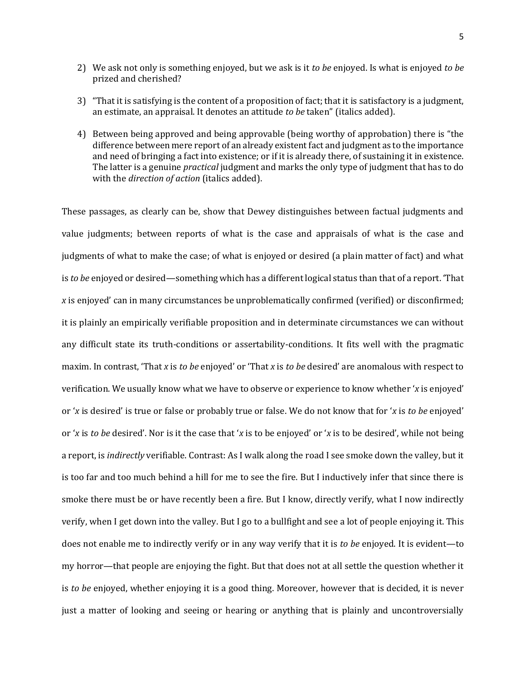- 2) We ask not only is something enjoyed, but we ask is it *to be* enjoyed. Is what is enjoyed *to be*  prized and cherished?
- 3) "That it is satisfying is the content of a proposition of fact; that it is satisfactory is a judgment, an estimate, an appraisal. It denotes an attitude *to be* taken" (italics added).
- 4) Between being approved and being approvable (being worthy of approbation) there is "the difference between mere report of an already existent fact and judgment as to the importance and need of bringing a fact into existence; or if it is already there, of sustaining it in existence. The latter is a genuine *practical* judgment and marks the only type of judgment that has to do with the *direction of action* (italics added).

These passages, as clearly can be, show that Dewey distinguishes between factual judgments and value judgments; between reports of what is the case and appraisals of what is the case and judgments of what to make the case; of what is enjoyed or desired (a plain matter of fact) and what is *to be* enjoyed or desired—something which has a different logical status than that of a report. 'That *x* is enjoyed' can in many circumstances be unproblematically confirmed (verified) or disconfirmed; it is plainly an empirically verifiable proposition and in determinate circumstances we can without any difficult state its truth-conditions or assertability-conditions. It fits well with the pragmatic maxim. In contrast, 'That *x* is *to be* enjoyed' or 'That *x* is *to be* desired' are anomalous with respect to verification. We usually know what we have to observe or experience to know whether '*x* is enjoyed' or '*x* is desired' is true or false or probably true or false. We do not know that for '*x* is *to be* enjoyed' or '*x* is *to be* desired'. Nor is it the case that '*x* is to be enjoyed' or '*x* is to be desired', while not being a report, is *indirectly* verifiable. Contrast: As I walk along the road I see smoke down the valley, but it is too far and too much behind a hill for me to see the fire. But I inductively infer that since there is smoke there must be or have recently been a fire. But I know, directly verify, what I now indirectly verify, when I get down into the valley. But I go to a bullfight and see a lot of people enjoying it. This does not enable me to indirectly verify or in any way verify that it is *to be* enjoyed. It is evident—to my horror—that people are enjoying the fight. But that does not at all settle the question whether it is *to be* enjoyed, whether enjoying it is a good thing. Moreover, however that is decided, it is never just a matter of looking and seeing or hearing or anything that is plainly and uncontroversially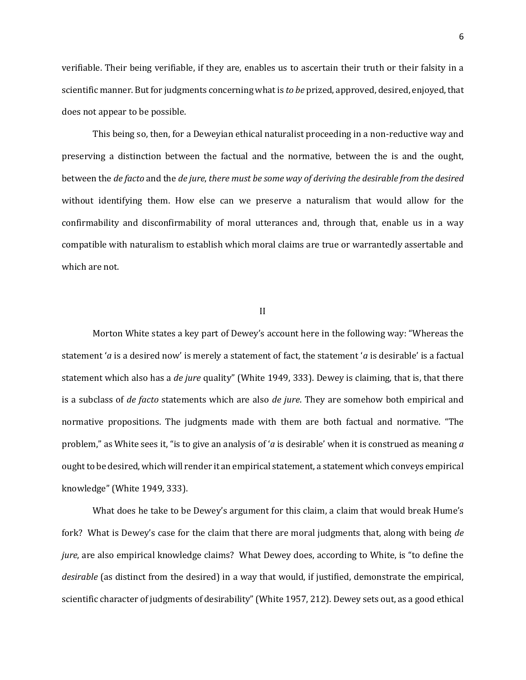verifiable. Their being verifiable, if they are, enables us to ascertain their truth or their falsity in a scientific manner. But for judgments concerning what is *to be* prized, approved, desired, enjoyed, that does not appear to be possible.

This being so, then, for a Deweyian ethical naturalist proceeding in a non-reductive way and preserving a distinction between the factual and the normative, between the is and the ought, between the *de facto* and the *de jure*, *there must be some way of deriving the desirable from the desired* without identifying them. How else can we preserve a naturalism that would allow for the confirmability and disconfirmability of moral utterances and, through that, enable us in a way compatible with naturalism to establish which moral claims are true or warrantedly assertable and which are not.

### II

Morton White states a key part of Dewey's account here in the following way: "Whereas the statement '*a* is a desired now' is merely a statement of fact, the statement '*a* is desirable' is a factual statement which also has a *de jure* quality" (White 1949, 333). Dewey is claiming, that is, that there is a subclass of *de facto* statements which are also *de jure*. They are somehow both empirical and normative propositions. The judgments made with them are both factual and normative. "The problem," as White sees it, "is to give an analysis of '*a* is desirable' when it is construed as meaning *a*  ought to be desired, which will render it an empirical statement, a statement which conveys empirical knowledge" (White 1949, 333).

What does he take to be Dewey's argument for this claim, a claim that would break Hume's fork? What is Dewey's case for the claim that there are moral judgments that, along with being *de jure*, are also empirical knowledge claims? What Dewey does, according to White, is "to define the *desirable* (as distinct from the desired) in a way that would, if justified, demonstrate the empirical, scientific character of judgments of desirability" (White 1957, 212). Dewey sets out, as a good ethical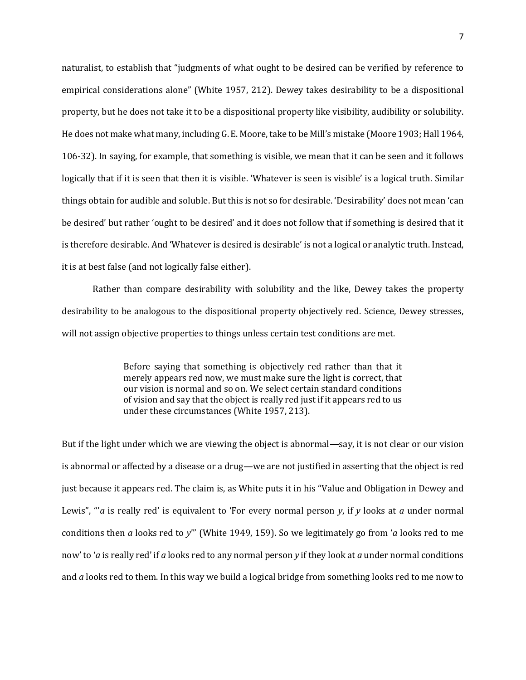naturalist, to establish that "judgments of what ought to be desired can be verified by reference to empirical considerations alone" (White 1957, 212). Dewey takes desirability to be a dispositional property, but he does not take it to be a dispositional property like visibility, audibility or solubility. He does not make what many, including G. E. Moore, take to be Mill's mistake (Moore 1903; Hall 1964, 106-32). In saying, for example, that something is visible, we mean that it can be seen and it follows logically that if it is seen that then it is visible. 'Whatever is seen is visible' is a logical truth. Similar things obtain for audible and soluble. But this is not so for desirable. 'Desirability' does not mean 'can be desired' but rather 'ought to be desired' and it does not follow that if something is desired that it is therefore desirable. And 'Whatever is desired is desirable' is not a logical or analytic truth. Instead, it is at best false (and not logically false either).

Rather than compare desirability with solubility and the like, Dewey takes the property desirability to be analogous to the dispositional property objectively red. Science, Dewey stresses, will not assign objective properties to things unless certain test conditions are met.

> Before saying that something is objectively red rather than that it merely appears red now, we must make sure the light is correct, that our vision is normal and so on. We select certain standard conditions of vision and say that the object is really red just if it appears red to us under these circumstances (White 1957, 213).

But if the light under which we are viewing the object is abnormal—say, it is not clear or our vision is abnormal or affected by a disease or a drug—we are not justified in asserting that the object is red just because it appears red. The claim is, as White puts it in his "Value and Obligation in Dewey and Lewis", "'*a* is really red' is equivalent to 'For every normal person *y*, if *y* looks at *a* under normal conditions then *a* looks red to *y*'" (White 1949, 159). So we legitimately go from '*a* looks red to me now' to '*a* is really red' if *a* looks red to any normal person *y* if they look at *a* under normal conditions and *a* looks red to them. In this way we build a logical bridge from something looks red to me now to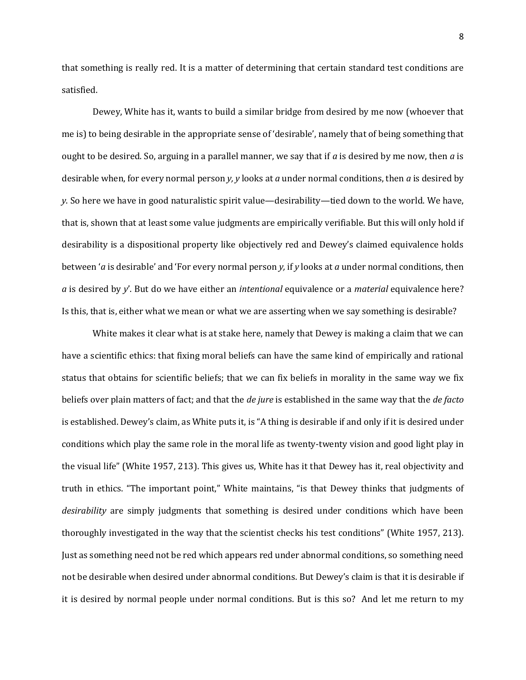that something is really red. It is a matter of determining that certain standard test conditions are satisfied.

Dewey, White has it, wants to build a similar bridge from desired by me now (whoever that me is) to being desirable in the appropriate sense of 'desirable', namely that of being something that ought to be desired. So, arguing in a parallel manner, we say that if *a* is desired by me now, then *a* is desirable when, for every normal person *y, y* looks at *a* under normal conditions, then *a* is desired by *y*. So here we have in good naturalistic spirit value—desirability—tied down to the world. We have, that is, shown that at least some value judgments are empirically verifiable. But this will only hold if desirability is a dispositional property like objectively red and Dewey's claimed equivalence holds between '*a* is desirable' and 'For every normal person *y,* if *y* looks at *a* under normal conditions, then *a* is desired by *y*'. But do we have either an *intentional* equivalence or a *material* equivalence here? Is this, that is, either what we mean or what we are asserting when we say something is desirable?

White makes it clear what is at stake here, namely that Dewey is making a claim that we can have a scientific ethics: that fixing moral beliefs can have the same kind of empirically and rational status that obtains for scientific beliefs; that we can fix beliefs in morality in the same way we fix beliefs over plain matters of fact; and that the *de jure* is established in the same way that the *de facto*  is established. Dewey's claim, as White puts it, is "A thing is desirable if and only if it is desired under conditions which play the same role in the moral life as twenty-twenty vision and good light play in the visual life" (White 1957, 213). This gives us, White has it that Dewey has it, real objectivity and truth in ethics. "The important point," White maintains, "is that Dewey thinks that judgments of *desirability* are simply judgments that something is desired under conditions which have been thoroughly investigated in the way that the scientist checks his test conditions" (White 1957, 213). Just as something need not be red which appears red under abnormal conditions, so something need not be desirable when desired under abnormal conditions. But Dewey's claim is that it is desirable if it is desired by normal people under normal conditions. But is this so? And let me return to my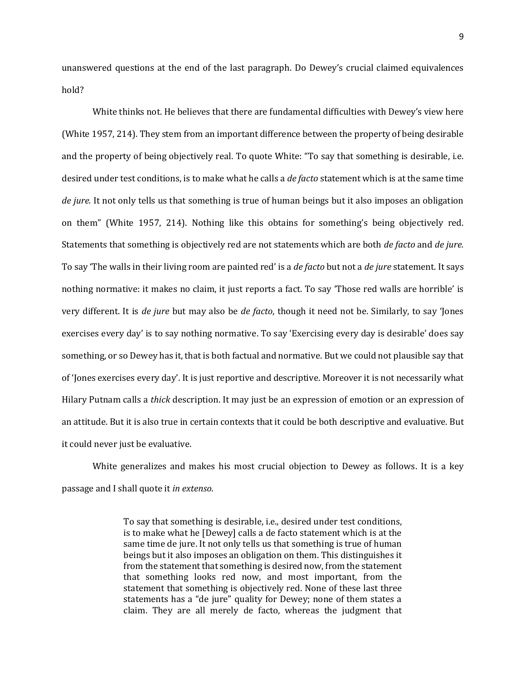unanswered questions at the end of the last paragraph. Do Dewey's crucial claimed equivalences hold?

White thinks not. He believes that there are fundamental difficulties with Dewey's view here (White 1957, 214). They stem from an important difference between the property of being desirable and the property of being objectively real. To quote White: "To say that something is desirable, i.e. desired under test conditions, is to make what he calls a *de facto* statement which is at the same time *de jure.* It not only tells us that something is true of human beings but it also imposes an obligation on them" (White 1957, 214). Nothing like this obtains for something's being objectively red. Statements that something is objectively red are not statements which are both *de facto* and *de jure.*  To say 'The walls in their living room are painted red' is a *de facto* but not a *de jure* statement. It says nothing normative: it makes no claim, it just reports a fact. To say 'Those red walls are horrible' is very different. It is *de jure* but may also be *de facto*, though it need not be. Similarly, to say 'Jones exercises every day' is to say nothing normative. To say 'Exercising every day is desirable' does say something, or so Dewey has it, that is both factual and normative. But we could not plausible say that of 'Jones exercises every day'. It is just reportive and descriptive. Moreover it is not necessarily what Hilary Putnam calls a *thick* description. It may just be an expression of emotion or an expression of an attitude. But it is also true in certain contexts that it could be both descriptive and evaluative. But it could never just be evaluative.

White generalizes and makes his most crucial objection to Dewey as follows. It is a key passage and I shall quote it *in extenso.*

> To say that something is desirable, i.e., desired under test conditions, is to make what he [Dewey] calls a de facto statement which is at the same time de jure. It not only tells us that something is true of human beings but it also imposes an obligation on them. This distinguishes it from the statement that something is desired now, from the statement that something looks red now, and most important, from the statement that something is objectively red. None of these last three statements has a "de jure" quality for Dewey; none of them states a claim. They are all merely de facto, whereas the judgment that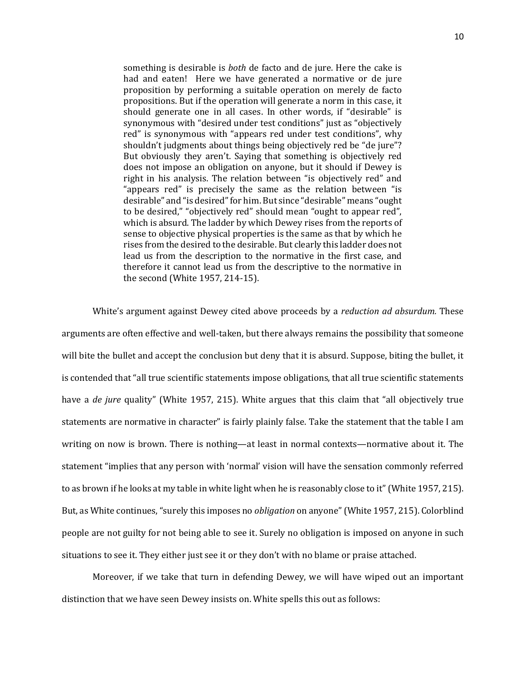something is desirable is *both* de facto and de jure. Here the cake is had and eaten! Here we have generated a normative or de jure proposition by performing a suitable operation on merely de facto propositions. But if the operation will generate a norm in this case, it should generate one in all cases. In other words, if "desirable" is synonymous with "desired under test conditions" just as "objectively red" is synonymous with "appears red under test conditions", why shouldn't judgments about things being objectively red be "de jure"? But obviously they aren't. Saying that something is objectively red does not impose an obligation on anyone, but it should if Dewey is right in his analysis. The relation between "is objectively red" and "appears red" is precisely the same as the relation between "is desirable" and "is desired" for him. But since "desirable" means "ought to be desired," "objectively red" should mean "ought to appear red", which is absurd. The ladder by which Dewey rises from the reports of sense to objective physical properties is the same as that by which he rises from the desired to the desirable. But clearly this ladder does not lead us from the description to the normative in the first case, and therefore it cannot lead us from the descriptive to the normative in the second (White 1957, 214-15).

White's argument against Dewey cited above proceeds by a *reduction ad absurdum.* These arguments are often effective and well-taken, but there always remains the possibility that someone will bite the bullet and accept the conclusion but deny that it is absurd. Suppose, biting the bullet, it is contended that "all true scientific statements impose obligations, that all true scientific statements have a *de jure* quality" (White 1957, 215). White argues that this claim that "all objectively true statements are normative in character" is fairly plainly false. Take the statement that the table I am writing on now is brown. There is nothing—at least in normal contexts—normative about it. The statement "implies that any person with 'normal' vision will have the sensation commonly referred to as brown if he looks at my table in white light when he is reasonably close to it" (White 1957, 215). But, as White continues, "surely this imposes no *obligation* on anyone" (White 1957, 215). Colorblind people are not guilty for not being able to see it. Surely no obligation is imposed on anyone in such situations to see it. They either just see it or they don't with no blame or praise attached.

Moreover, if we take that turn in defending Dewey, we will have wiped out an important distinction that we have seen Dewey insists on. White spells this out as follows: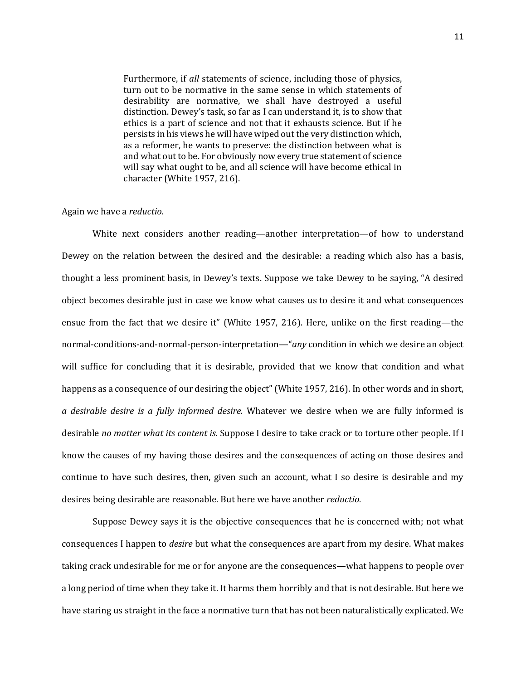Furthermore, if *all* statements of science, including those of physics, turn out to be normative in the same sense in which statements of desirability are normative, we shall have destroyed a useful distinction. Dewey's task, so far as I can understand it, is to show that ethics is a part of science and not that it exhausts science. But if he persists in his views he will have wiped out the very distinction which, as a reformer, he wants to preserve: the distinction between what is and what out to be. For obviously now every true statement of science will say what ought to be, and all science will have become ethical in character (White 1957, 216).

## Again we have a *reductio.*

White next considers another reading—another interpretation—of how to understand Dewey on the relation between the desired and the desirable: a reading which also has a basis, thought a less prominent basis, in Dewey's texts. Suppose we take Dewey to be saying, "A desired object becomes desirable just in case we know what causes us to desire it and what consequences ensue from the fact that we desire it" (White 1957, 216). Here, unlike on the first reading—the normal-conditions-and-normal-person-interpretation—"*any* condition in which we desire an object will suffice for concluding that it is desirable, provided that we know that condition and what happens as a consequence of our desiring the object" (White 1957, 216). In other words and in short, *a desirable desire is a fully informed desire.* Whatever we desire when we are fully informed is desirable *no matter what its content is.* Suppose I desire to take crack or to torture other people. If I know the causes of my having those desires and the consequences of acting on those desires and continue to have such desires, then, given such an account, what I so desire is desirable and my desires being desirable are reasonable. But here we have another *reductio.*

Suppose Dewey says it is the objective consequences that he is concerned with; not what consequences I happen to *desire* but what the consequences are apart from my desire. What makes taking crack undesirable for me or for anyone are the consequences—what happens to people over a long period of time when they take it. It harms them horribly and that is not desirable. But here we have staring us straight in the face a normative turn that has not been naturalistically explicated. We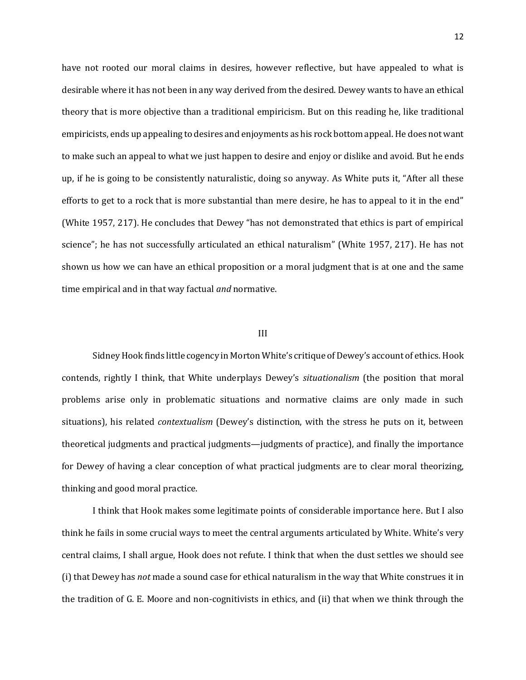have not rooted our moral claims in desires, however reflective, but have appealed to what is desirable where it has not been in any way derived from the desired. Dewey wants to have an ethical theory that is more objective than a traditional empiricism. But on this reading he, like traditional empiricists, ends up appealing to desires and enjoyments as his rock bottom appeal. He does not want to make such an appeal to what we just happen to desire and enjoy or dislike and avoid. But he ends up, if he is going to be consistently naturalistic, doing so anyway. As White puts it, "After all these efforts to get to a rock that is more substantial than mere desire, he has to appeal to it in the end" (White 1957, 217). He concludes that Dewey "has not demonstrated that ethics is part of empirical science"; he has not successfully articulated an ethical naturalism" (White 1957, 217). He has not shown us how we can have an ethical proposition or a moral judgment that is at one and the same time empirical and in that way factual *and* normative.

#### III

Sidney Hook finds little cogency in Morton White's critique of Dewey's account of ethics. Hook contends, rightly I think, that White underplays Dewey's *situationalism* (the position that moral problems arise only in problematic situations and normative claims are only made in such situations), his related *contextualism* (Dewey's distinction, with the stress he puts on it, between theoretical judgments and practical judgments—judgments of practice), and finally the importance for Dewey of having a clear conception of what practical judgments are to clear moral theorizing, thinking and good moral practice.

I think that Hook makes some legitimate points of considerable importance here. But I also think he fails in some crucial ways to meet the central arguments articulated by White. White's very central claims, I shall argue, Hook does not refute. I think that when the dust settles we should see (i) that Dewey has *not* made a sound case for ethical naturalism in the way that White construes it in the tradition of G. E. Moore and non-cognitivists in ethics, and (ii) that when we think through the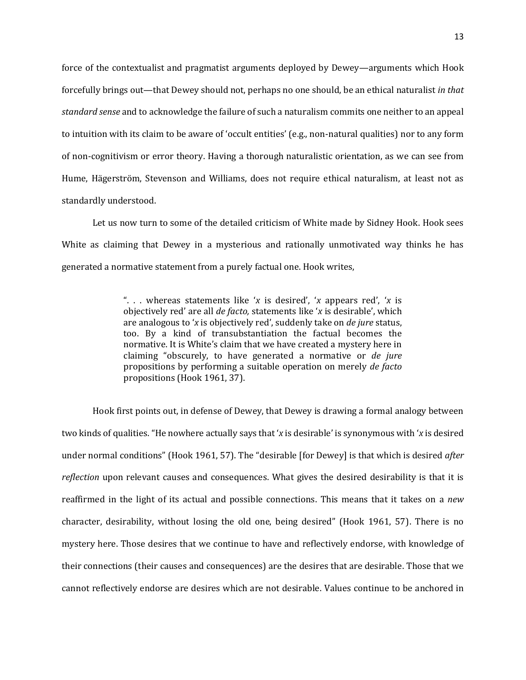force of the contextualist and pragmatist arguments deployed by Dewey—arguments which Hook forcefully brings out—that Dewey should not, perhaps no one should, be an ethical naturalist *in that standard sense* and to acknowledge the failure of such a naturalism commits one neither to an appeal to intuition with its claim to be aware of 'occult entities' (e.g., non-natural qualities) nor to any form of non-cognitivism or error theory. Having a thorough naturalistic orientation, as we can see from Hume, Hägerström, Stevenson and Williams, does not require ethical naturalism, at least not as standardly understood.

Let us now turn to some of the detailed criticism of White made by Sidney Hook. Hook sees White as claiming that Dewey in a mysterious and rationally unmotivated way thinks he has generated a normative statement from a purely factual one. Hook writes,

> ". . . whereas statements like '*x* is desired', '*x* appears red', '*x* is objectively red' are all *de facto,* statements like '*x* is desirable', which are analogous to '*x* is objectively red', suddenly take on *de jure* status, too. By a kind of transubstantiation the factual becomes the normative. It is White's claim that we have created a mystery here in claiming "obscurely, to have generated a normative or *de jure*  propositions by performing a suitable operation on merely *de facto*  propositions (Hook 1961, 37).

Hook first points out, in defense of Dewey, that Dewey is drawing a formal analogy between two kinds of qualities. "He nowhere actually says that '*x* is desirable' is synonymous with '*x* is desired under normal conditions" (Hook 1961, 57). The "desirable [for Dewey] is that which is desired *after reflection* upon relevant causes and consequences. What gives the desired desirability is that it is reaffirmed in the light of its actual and possible connections. This means that it takes on a *new*  character, desirability, without losing the old one, being desired" (Hook 1961, 57). There is no mystery here. Those desires that we continue to have and reflectively endorse, with knowledge of their connections (their causes and consequences) are the desires that are desirable. Those that we cannot reflectively endorse are desires which are not desirable. Values continue to be anchored in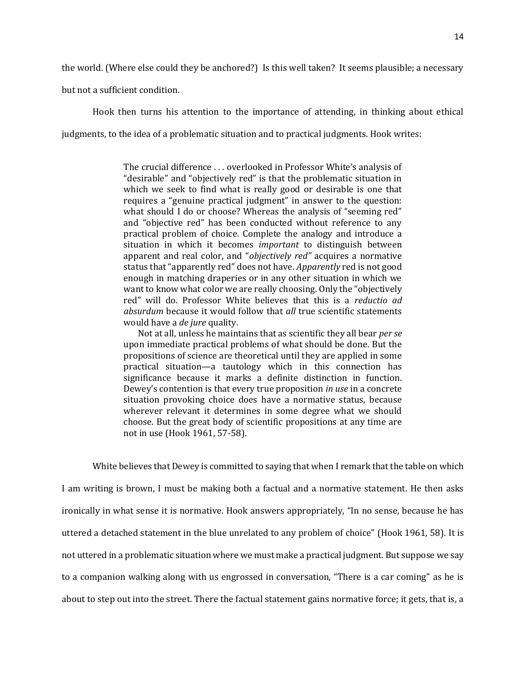the world. (Where else could they be anchored?) Is this well taken? It seems plausible; a necessary

but not a sufficient condition.

Hook then turns his attention to the importance of attending, in thinking about ethical judgments, to the idea of a problematic situation and to practical judgments. Hook writes:

> The crucial difference . . . overlooked in Professor White's analysis of "desirable" and "objectively red" is that the problematic situation in which we seek to find what is really good or desirable is one that requires a "genuine practical judgment" in answer to the question: what should I do or choose? Whereas the analysis of "seeming red" and "objective red" has been conducted without reference to any practical problem of choice. Complete the analogy and introduce a situation in which it becomes *important* to distinguish between apparent and real color, and "*objectively red"* acquires a normative status that "apparently red" does not have. *Apparently* red is not good enough in matching draperies or in any other situation in which we want to know what color we are really choosing. Only the "objectively red" will do. Professor White believes that this is a *reductio ad absurdum* because it would follow that *all* true scientific statements would have a *de jure* quality.

> Not at all, unless he maintains that as scientific they all bear *per se*  upon immediate practical problems of what should be done. But the propositions of science are theoretical until they are applied in some practical situation—a tautology which in this connection has significance because it marks a definite distinction in function. Dewey's contention is that every true proposition *in use* in a concrete situation provoking choice does have a normative status, because wherever relevant it determines in some degree what we should choose. But the great body of scientific propositions at any time are not in use (Hook 1961, 57-58).

White believes that Dewey is committed to saying that when I remark that the table on which I am writing is brown, I must be making both a factual and a normative statement. He then asks ironically in what sense it is normative. Hook answers appropriately, "In no sense, because he has uttered a detached statement in the blue unrelated to any problem of choice" (Hook 1961, 58). It is not uttered in a problematic situation where we must make a practical judgment. But suppose we say to a companion walking along with us engrossed in conversation, "There is a car coming" as he is about to step out into the street. There the factual statement gains normative force; it gets, that is, a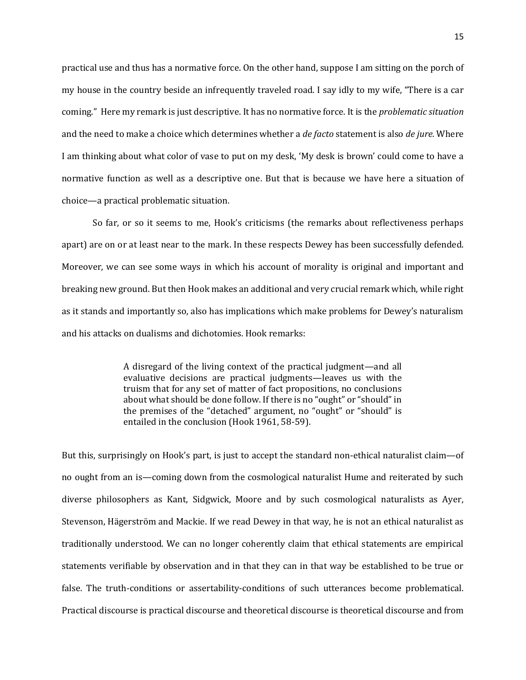practical use and thus has a normative force. On the other hand, suppose I am sitting on the porch of my house in the country beside an infrequently traveled road. I say idly to my wife, "There is a car coming." Here my remark is just descriptive. It has no normative force. It is the *problematic situation*  and the need to make a choice which determines whether a *de facto* statement is also *de jure.* Where I am thinking about what color of vase to put on my desk, 'My desk is brown' could come to have a normative function as well as a descriptive one. But that is because we have here a situation of choice—a practical problematic situation.

So far, or so it seems to me, Hook's criticisms (the remarks about reflectiveness perhaps apart) are on or at least near to the mark. In these respects Dewey has been successfully defended. Moreover, we can see some ways in which his account of morality is original and important and breaking new ground. But then Hook makes an additional and very crucial remark which, while right as it stands and importantly so, also has implications which make problems for Dewey's naturalism and his attacks on dualisms and dichotomies. Hook remarks:

> A disregard of the living context of the practical judgment—and all evaluative decisions are practical judgments—leaves us with the truism that for any set of matter of fact propositions, no conclusions about what should be done follow. If there is no "ought" or "should" in the premises of the "detached" argument, no "ought" or "should" is entailed in the conclusion (Hook 1961, 58-59).

But this, surprisingly on Hook's part, is just to accept the standard non-ethical naturalist claim—of no ought from an is—coming down from the cosmological naturalist Hume and reiterated by such diverse philosophers as Kant, Sidgwick, Moore and by such cosmological naturalists as Ayer, Stevenson, Hägerström and Mackie. If we read Dewey in that way, he is not an ethical naturalist as traditionally understood. We can no longer coherently claim that ethical statements are empirical statements verifiable by observation and in that they can in that way be established to be true or false. The truth-conditions or assertability-conditions of such utterances become problematical. Practical discourse is practical discourse and theoretical discourse is theoretical discourse and from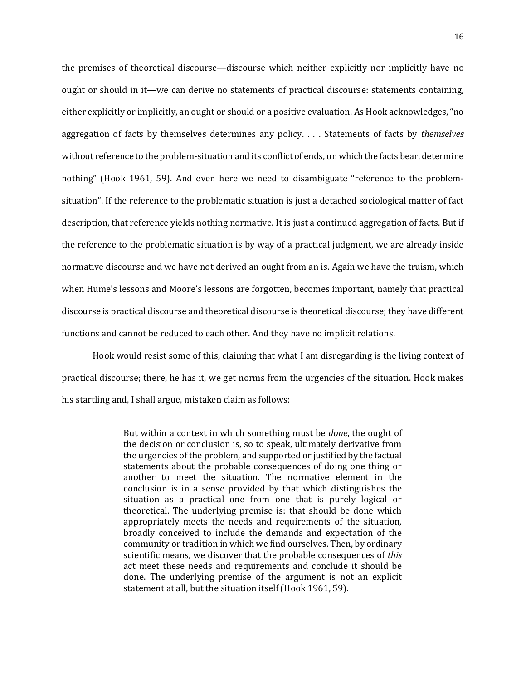the premises of theoretical discourse—discourse which neither explicitly nor implicitly have no ought or should in it—we can derive no statements of practical discourse: statements containing, either explicitly or implicitly, an ought or should or a positive evaluation. As Hook acknowledges, "no aggregation of facts by themselves determines any policy. . . . Statements of facts by *themselves* without reference to the problem-situation and its conflict of ends, on which the facts bear, determine nothing" (Hook 1961, 59). And even here we need to disambiguate "reference to the problemsituation". If the reference to the problematic situation is just a detached sociological matter of fact description, that reference yields nothing normative. It is just a continued aggregation of facts. But if the reference to the problematic situation is by way of a practical judgment, we are already inside normative discourse and we have not derived an ought from an is. Again we have the truism, which when Hume's lessons and Moore's lessons are forgotten, becomes important, namely that practical discourse is practical discourse and theoretical discourse is theoretical discourse; they have different functions and cannot be reduced to each other. And they have no implicit relations.

Hook would resist some of this, claiming that what I am disregarding is the living context of practical discourse; there, he has it, we get norms from the urgencies of the situation. Hook makes his startling and, I shall argue, mistaken claim as follows:

> But within a context in which something must be *done*, the ought of the decision or conclusion is, so to speak, ultimately derivative from the urgencies of the problem, and supported or justified by the factual statements about the probable consequences of doing one thing or another to meet the situation. The normative element in the conclusion is in a sense provided by that which distinguishes the situation as a practical one from one that is purely logical or theoretical. The underlying premise is: that should be done which appropriately meets the needs and requirements of the situation, broadly conceived to include the demands and expectation of the community or tradition in which we find ourselves. Then, by ordinary scientific means, we discover that the probable consequences of *this*  act meet these needs and requirements and conclude it should be done. The underlying premise of the argument is not an explicit statement at all, but the situation itself (Hook 1961, 59).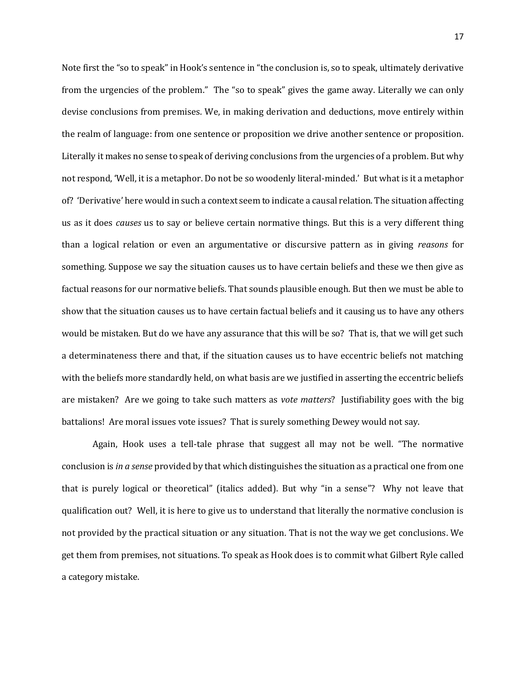Note first the "so to speak" in Hook's sentence in "the conclusion is, so to speak, ultimately derivative from the urgencies of the problem." The "so to speak" gives the game away. Literally we can only devise conclusions from premises. We, in making derivation and deductions, move entirely within the realm of language: from one sentence or proposition we drive another sentence or proposition. Literally it makes no sense to speak of deriving conclusions from the urgencies of a problem. But why not respond, 'Well, it is a metaphor. Do not be so woodenly literal-minded.' But what is it a metaphor of? 'Derivative' here would in such a context seem to indicate a causal relation. The situation affecting us as it does *causes* us to say or believe certain normative things. But this is a very different thing than a logical relation or even an argumentative or discursive pattern as in giving *reasons* for something. Suppose we say the situation causes us to have certain beliefs and these we then give as factual reasons for our normative beliefs. That sounds plausible enough. But then we must be able to show that the situation causes us to have certain factual beliefs and it causing us to have any others would be mistaken. But do we have any assurance that this will be so? That is, that we will get such a determinateness there and that, if the situation causes us to have eccentric beliefs not matching with the beliefs more standardly held, on what basis are we justified in asserting the eccentric beliefs are mistaken? Are we going to take such matters as *vote matters*? Justifiability goes with the big battalions! Are moral issues vote issues? That is surely something Dewey would not say.

Again, Hook uses a tell-tale phrase that suggest all may not be well. "The normative conclusion is *in a sense* provided by that which distinguishes the situation as a practical one from one that is purely logical or theoretical" (italics added). But why "in a sense"? Why not leave that qualification out? Well, it is here to give us to understand that literally the normative conclusion is not provided by the practical situation or any situation. That is not the way we get conclusions. We get them from premises, not situations. To speak as Hook does is to commit what Gilbert Ryle called a category mistake.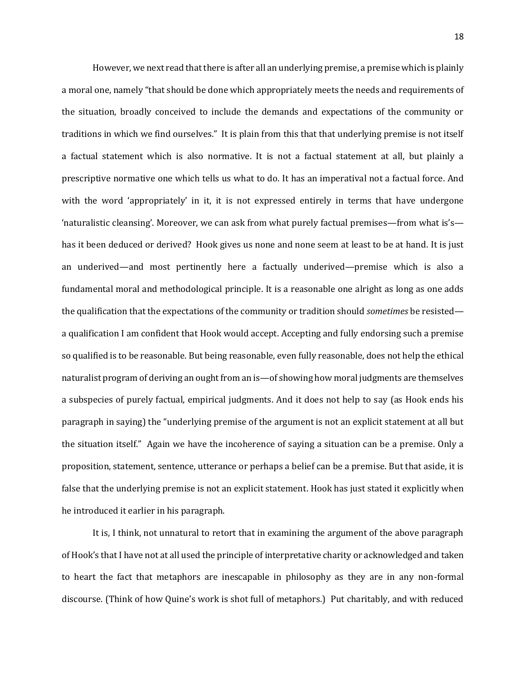However, we next read that there is after all an underlying premise, a premise which is plainly a moral one, namely "that should be done which appropriately meets the needs and requirements of the situation, broadly conceived to include the demands and expectations of the community or traditions in which we find ourselves." It is plain from this that that underlying premise is not itself a factual statement which is also normative. It is not a factual statement at all, but plainly a prescriptive normative one which tells us what to do. It has an imperatival not a factual force. And with the word 'appropriately' in it, it is not expressed entirely in terms that have undergone 'naturalistic cleansing'. Moreover, we can ask from what purely factual premises—from what is's has it been deduced or derived? Hook gives us none and none seem at least to be at hand. It is just an underived—and most pertinently here a factually underived—premise which is also a fundamental moral and methodological principle. It is a reasonable one alright as long as one adds the qualification that the expectations of the community or tradition should *sometimes* be resisted a qualification I am confident that Hook would accept. Accepting and fully endorsing such a premise so qualified is to be reasonable. But being reasonable, even fully reasonable, does not help the ethical naturalist program of deriving an ought from an is—of showing how moral judgments are themselves a subspecies of purely factual, empirical judgments. And it does not help to say (as Hook ends his paragraph in saying) the "underlying premise of the argument is not an explicit statement at all but the situation itself." Again we have the incoherence of saying a situation can be a premise. Only a proposition, statement, sentence, utterance or perhaps a belief can be a premise. But that aside, it is false that the underlying premise is not an explicit statement. Hook has just stated it explicitly when he introduced it earlier in his paragraph.

It is, I think, not unnatural to retort that in examining the argument of the above paragraph of Hook's that I have not at all used the principle of interpretative charity or acknowledged and taken to heart the fact that metaphors are inescapable in philosophy as they are in any non-formal discourse. (Think of how Quine's work is shot full of metaphors.) Put charitably, and with reduced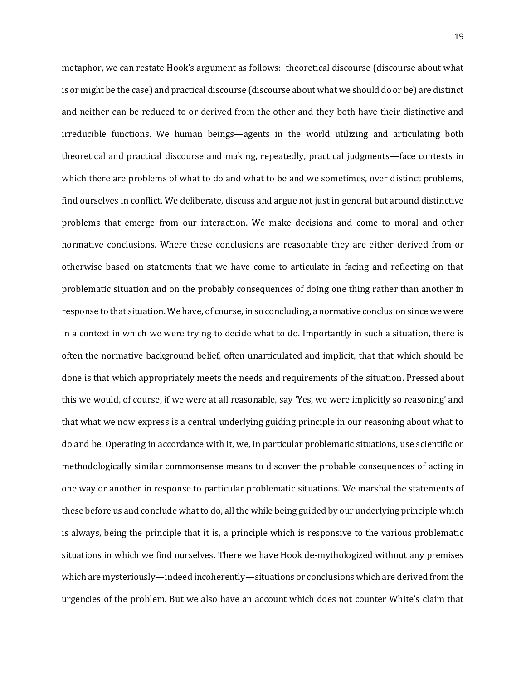metaphor, we can restate Hook's argument as follows: theoretical discourse (discourse about what is or might be the case) and practical discourse (discourse about what we should do or be) are distinct and neither can be reduced to or derived from the other and they both have their distinctive and irreducible functions. We human beings—agents in the world utilizing and articulating both theoretical and practical discourse and making, repeatedly, practical judgments—face contexts in which there are problems of what to do and what to be and we sometimes, over distinct problems, find ourselves in conflict. We deliberate, discuss and argue not just in general but around distinctive problems that emerge from our interaction. We make decisions and come to moral and other normative conclusions. Where these conclusions are reasonable they are either derived from or otherwise based on statements that we have come to articulate in facing and reflecting on that problematic situation and on the probably consequences of doing one thing rather than another in response to that situation. We have, of course, in so concluding, a normative conclusion since we were in a context in which we were trying to decide what to do. Importantly in such a situation, there is often the normative background belief, often unarticulated and implicit, that that which should be done is that which appropriately meets the needs and requirements of the situation. Pressed about this we would, of course, if we were at all reasonable, say 'Yes, we were implicitly so reasoning' and that what we now express is a central underlying guiding principle in our reasoning about what to do and be. Operating in accordance with it, we, in particular problematic situations, use scientific or methodologically similar commonsense means to discover the probable consequences of acting in one way or another in response to particular problematic situations. We marshal the statements of these before us and conclude what to do, all the while being guided by our underlying principle which is always, being the principle that it is, a principle which is responsive to the various problematic situations in which we find ourselves. There we have Hook de-mythologized without any premises which are mysteriously—indeed incoherently—situations or conclusions which are derived from the urgencies of the problem. But we also have an account which does not counter White's claim that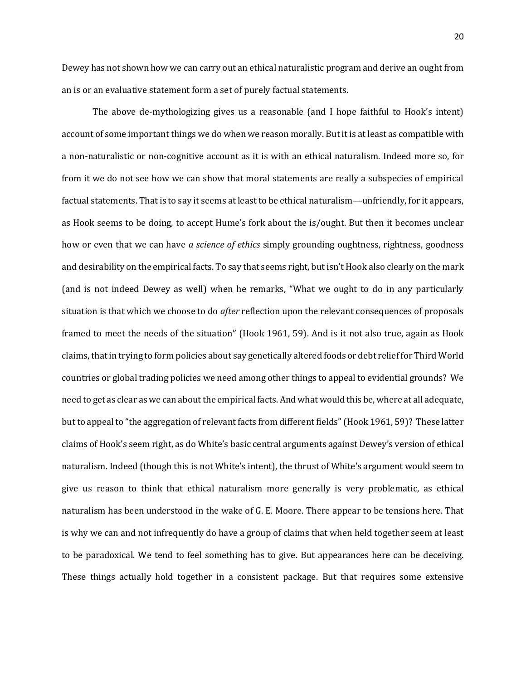Dewey has not shown how we can carry out an ethical naturalistic program and derive an ought from an is or an evaluative statement form a set of purely factual statements.

The above de-mythologizing gives us a reasonable (and I hope faithful to Hook's intent) account of some important things we do when we reason morally. But it is at least as compatible with a non-naturalistic or non-cognitive account as it is with an ethical naturalism. Indeed more so, for from it we do not see how we can show that moral statements are really a subspecies of empirical factual statements. That is to say it seems at least to be ethical naturalism—unfriendly, for it appears, as Hook seems to be doing, to accept Hume's fork about the is/ought. But then it becomes unclear how or even that we can have *a science of ethics* simply grounding oughtness, rightness, goodness and desirability on the empirical facts. To say that seems right, but isn't Hook also clearly on the mark (and is not indeed Dewey as well) when he remarks, "What we ought to do in any particularly situation is that which we choose to do *after* reflection upon the relevant consequences of proposals framed to meet the needs of the situation" (Hook 1961, 59). And is it not also true, again as Hook claims, that in trying to form policies about say genetically altered foods or debt relief for Third World countries or global trading policies we need among other things to appeal to evidential grounds? We need to get as clear as we can about the empirical facts. And what would this be, where at all adequate, but to appeal to "the aggregation of relevant facts from different fields" (Hook 1961, 59)? These latter claims of Hook's seem right, as do White's basic central arguments against Dewey's version of ethical naturalism. Indeed (though this is not White's intent), the thrust of White's argument would seem to give us reason to think that ethical naturalism more generally is very problematic, as ethical naturalism has been understood in the wake of G. E. Moore. There appear to be tensions here. That is why we can and not infrequently do have a group of claims that when held together seem at least to be paradoxical. We tend to feel something has to give. But appearances here can be deceiving. These things actually hold together in a consistent package. But that requires some extensive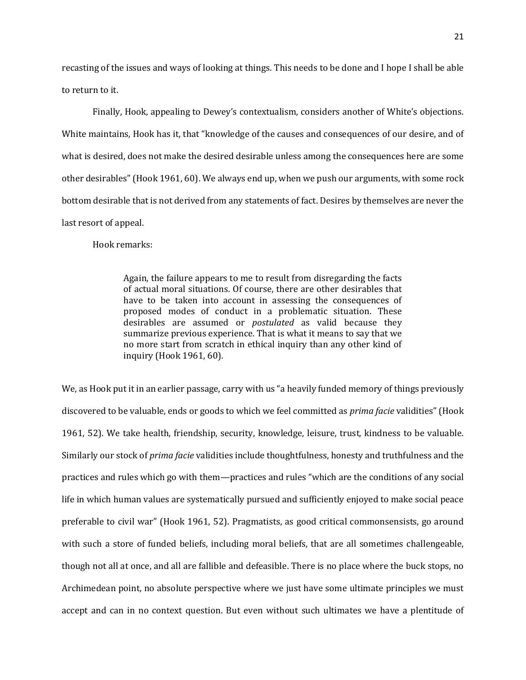recasting of the issues and ways of looking at things. This needs to be done and I hope I shall be able to return to it.

Finally, Hook, appealing to Dewey's contextualism, considers another of White's objections. White maintains, Hook has it, that "knowledge of the causes and consequences of our desire, and of what is desired, does not make the desired desirable unless among the consequences here are some other desirables" (Hook 1961, 60). We always end up, when we push our arguments, with some rock bottom desirable that is not derived from any statements of fact. Desires by themselves are never the last resort of appeal.

Hook remarks:

Again, the failure appears to me to result from disregarding the facts of actual moral situations. Of course, there are other desirables that have to be taken into account in assessing the consequences of proposed modes of conduct in a problematic situation. These desirables are assumed or *postulated* as valid because they summarize previous experience. That is what it means to say that we no more start from scratch in ethical inquiry than any other kind of inquiry (Hook 1961, 60).

We, as Hook put it in an earlier passage, carry with us "a heavily funded memory of things previously discovered to be valuable, ends or goods to which we feel committed as *prima facie* validities" (Hook 1961, 52). We take health, friendship, security, knowledge, leisure, trust, kindness to be valuable. Similarly our stock of *prima facie* validities include thoughtfulness, honesty and truthfulness and the practices and rules which go with them—practices and rules "which are the conditions of any social life in which human values are systematically pursued and sufficiently enjoyed to make social peace preferable to civil war" (Hook 1961, 52). Pragmatists, as good critical commonsensists, go around with such a store of funded beliefs, including moral beliefs, that are all sometimes challengeable, though not all at once, and all are fallible and defeasible. There is no place where the buck stops, no Archimedean point, no absolute perspective where we just have some ultimate principles we must accept and can in no context question. But even without such ultimates we have a plentitude of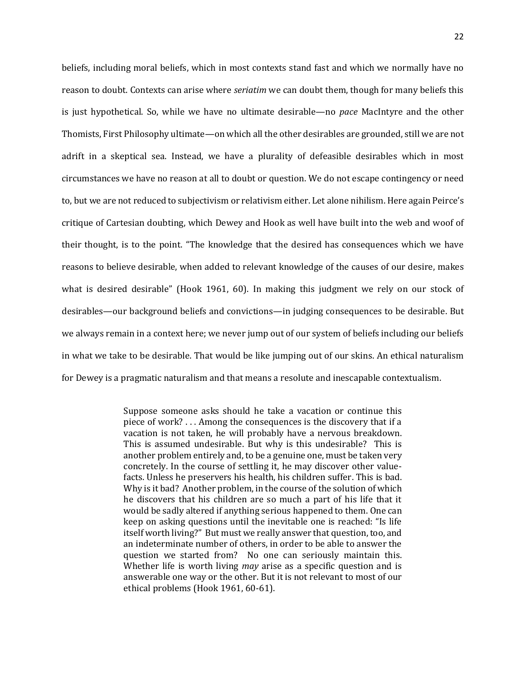beliefs, including moral beliefs, which in most contexts stand fast and which we normally have no reason to doubt. Contexts can arise where *seriatim* we can doubt them, though for many beliefs this is just hypothetical. So, while we have no ultimate desirable—no *pace* MacIntyre and the other Thomists, First Philosophy ultimate—on which all the other desirables are grounded, still we are not adrift in a skeptical sea. Instead, we have a plurality of defeasible desirables which in most circumstances we have no reason at all to doubt or question. We do not escape contingency or need to, but we are not reduced to subjectivism or relativism either. Let alone nihilism. Here again Peirce's critique of Cartesian doubting, which Dewey and Hook as well have built into the web and woof of their thought, is to the point. "The knowledge that the desired has consequences which we have reasons to believe desirable, when added to relevant knowledge of the causes of our desire, makes what is desired desirable" (Hook 1961, 60). In making this judgment we rely on our stock of desirables—our background beliefs and convictions—in judging consequences to be desirable. But we always remain in a context here; we never jump out of our system of beliefs including our beliefs in what we take to be desirable. That would be like jumping out of our skins. An ethical naturalism for Dewey is a pragmatic naturalism and that means a resolute and inescapable contextualism.

> Suppose someone asks should he take a vacation or continue this piece of work? . . . Among the consequences is the discovery that if a vacation is not taken, he will probably have a nervous breakdown. This is assumed undesirable. But why is this undesirable? This is another problem entirely and, to be a genuine one, must be taken very concretely. In the course of settling it, he may discover other valuefacts. Unless he preservers his health, his children suffer. This is bad. Why is it bad? Another problem, in the course of the solution of which he discovers that his children are so much a part of his life that it would be sadly altered if anything serious happened to them. One can keep on asking questions until the inevitable one is reached: "Is life itself worth living?" But must we really answer that question, too, and an indeterminate number of others, in order to be able to answer the question we started from? No one can seriously maintain this. Whether life is worth living *may* arise as a specific question and is answerable one way or the other. But it is not relevant to most of our ethical problems (Hook 1961, 60-61).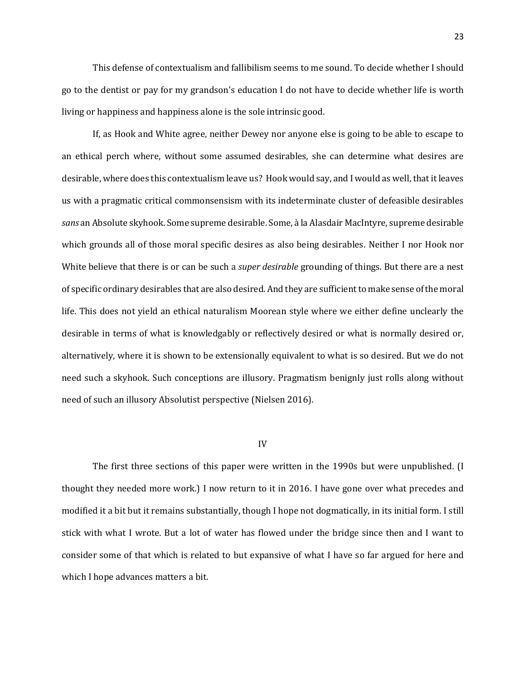This defense of contextualism and fallibilism seems to me sound. To decide whether I should go to the dentist or pay for my grandson's education I do not have to decide whether life is worth living or happiness and happiness alone is the sole intrinsic good.

If, as Hook and White agree, neither Dewey nor anyone else is going to be able to escape to an ethical perch where, without some assumed desirables, she can determine what desires are desirable, where does this contextualism leave us? Hook would say, and I would as well, that it leaves us with a pragmatic critical commonsensism with its indeterminate cluster of defeasible desirables *sans* an Absolute skyhook. Some supreme desirable. Some, à la Alasdair MacIntyre, supreme desirable which grounds all of those moral specific desires as also being desirables. Neither I nor Hook nor White believe that there is or can be such a *super desirable* grounding of things. But there are a nest of specific ordinary desirables that are also desired. And they are sufficient to make sense of the moral life. This does not yield an ethical naturalism Moorean style where we either define unclearly the desirable in terms of what is knowledgably or reflectively desired or what is normally desired or, alternatively, where it is shown to be extensionally equivalent to what is so desired. But we do not need such a skyhook. Such conceptions are illusory. Pragmatism benignly just rolls along without need of such an illusory Absolutist perspective (Nielsen 2016).

#### IV

The first three sections of this paper were written in the 1990s but were unpublished. (I thought they needed more work.) I now return to it in 2016. I have gone over what precedes and modified it a bit but it remains substantially, though I hope not dogmatically, in its initial form. I still stick with what I wrote. But a lot of water has flowed under the bridge since then and I want to consider some of that which is related to but expansive of what I have so far argued for here and which I hope advances matters a bit.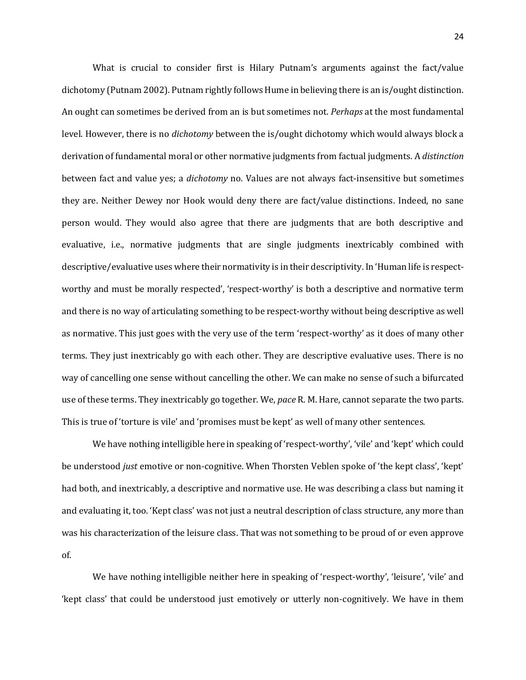What is crucial to consider first is Hilary Putnam's arguments against the fact/value dichotomy (Putnam 2002). Putnam rightly follows Hume in believing there is an is/ought distinction. An ought can sometimes be derived from an is but sometimes not. *Perhaps* at the most fundamental level. However, there is no *dichotomy* between the is/ought dichotomy which would always block a derivation of fundamental moral or other normative judgments from factual judgments. A *distinction* between fact and value yes; a *dichotomy* no. Values are not always fact-insensitive but sometimes they are. Neither Dewey nor Hook would deny there are fact/value distinctions. Indeed, no sane person would. They would also agree that there are judgments that are both descriptive and evaluative, i.e., normative judgments that are single judgments inextricably combined with descriptive/evaluative uses where their normativity is in their descriptivity. In 'Human life is respectworthy and must be morally respected', 'respect-worthy' is both a descriptive and normative term and there is no way of articulating something to be respect-worthy without being descriptive as well as normative. This just goes with the very use of the term 'respect-worthy' as it does of many other terms. They just inextricably go with each other. They are descriptive evaluative uses. There is no way of cancelling one sense without cancelling the other. We can make no sense of such a bifurcated use of these terms. They inextricably go together. We, *pace* R. M. Hare, cannot separate the two parts. This is true of 'torture is vile' and 'promises must be kept' as well of many other sentences.

We have nothing intelligible here in speaking of 'respect-worthy', 'vile' and 'kept' which could be understood *just* emotive or non-cognitive. When Thorsten Veblen spoke of 'the kept class', 'kept' had both, and inextricably, a descriptive and normative use. He was describing a class but naming it and evaluating it, too. 'Kept class' was not just a neutral description of class structure, any more than was his characterization of the leisure class. That was not something to be proud of or even approve of.

We have nothing intelligible neither here in speaking of 'respect-worthy', 'leisure', 'vile' and 'kept class' that could be understood just emotively or utterly non-cognitively. We have in them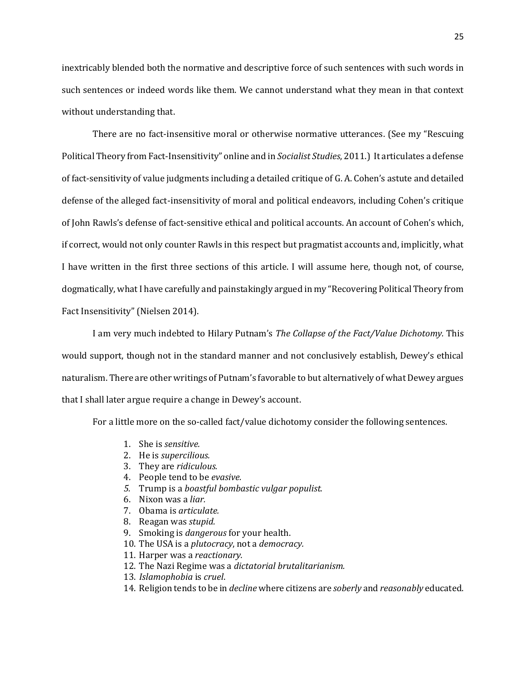inextricably blended both the normative and descriptive force of such sentences with such words in such sentences or indeed words like them. We cannot understand what they mean in that context without understanding that.

There are no fact-insensitive moral or otherwise normative utterances. (See my "Rescuing Political Theory from Fact-Insensitivity" online and in *Socialist Studies*, 2011.) It articulates a defense of fact-sensitivity of value judgments including a detailed critique of G. A. Cohen's astute and detailed defense of the alleged fact-insensitivity of moral and political endeavors, including Cohen's critique of John Rawls's defense of fact-sensitive ethical and political accounts. An account of Cohen's which, if correct, would not only counter Rawls in this respect but pragmatist accounts and, implicitly, what I have written in the first three sections of this article. I will assume here, though not, of course, dogmatically, what I have carefully and painstakingly argued in my "Recovering Political Theory from Fact Insensitivity" (Nielsen 2014).

I am very much indebted to Hilary Putnam's *The Collapse of the Fact/Value Dichotomy.* This would support, though not in the standard manner and not conclusively establish, Dewey's ethical naturalism. There are other writings of Putnam's favorable to but alternatively of what Dewey argues that I shall later argue require a change in Dewey's account.

For a little more on the so-called fact/value dichotomy consider the following sentences.

- 1. She is *sensitive.*
- 2. He is *supercilious.*
- 3. They are *ridiculous.*
- 4. People tend to be *evasive.*
- *5.* Trump is a *boastful bombastic vulgar populist.*
- 6. Nixon was a *liar.*
- 7. Obama is *articulate.*
- 8. Reagan was *stupid.*
- 9. Smoking is *dangerous* for your health.
- 10. The USA is a *plutocracy*, not a *democracy.*
- 11. Harper was a *reactionary.*
- 12. The Nazi Regime was a *dictatorial brutalitarianism.*
- 13. *Islamophobia* is *cruel*.
- 14. Religion tends to be in *decline* where citizens are *soberly* and *reasonably* educated.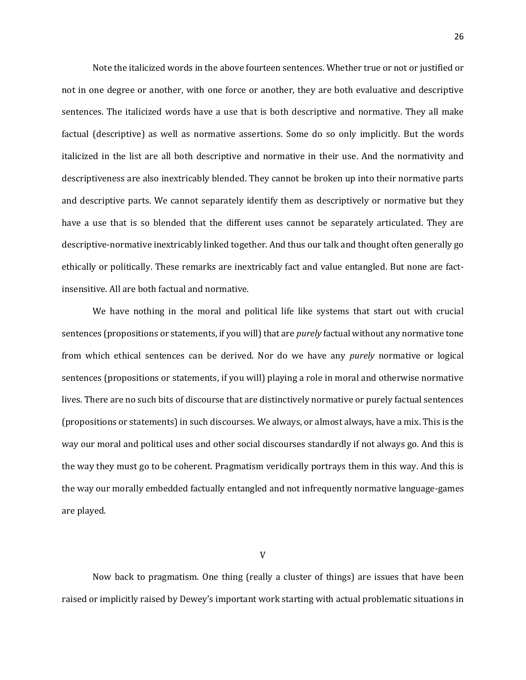Note the italicized words in the above fourteen sentences. Whether true or not or justified or not in one degree or another, with one force or another, they are both evaluative and descriptive sentences. The italicized words have a use that is both descriptive and normative. They all make factual (descriptive) as well as normative assertions. Some do so only implicitly. But the words italicized in the list are all both descriptive and normative in their use. And the normativity and descriptiveness are also inextricably blended. They cannot be broken up into their normative parts and descriptive parts. We cannot separately identify them as descriptively or normative but they have a use that is so blended that the different uses cannot be separately articulated. They are descriptive-normative inextricably linked together. And thus our talk and thought often generally go ethically or politically. These remarks are inextricably fact and value entangled. But none are factinsensitive. All are both factual and normative.

We have nothing in the moral and political life like systems that start out with crucial sentences (propositions or statements, if you will) that are *purely* factual without any normative tone from which ethical sentences can be derived. Nor do we have any *purely* normative or logical sentences (propositions or statements, if you will) playing a role in moral and otherwise normative lives. There are no such bits of discourse that are distinctively normative or purely factual sentences (propositions or statements) in such discourses. We always, or almost always, have a mix. This is the way our moral and political uses and other social discourses standardly if not always go. And this is the way they must go to be coherent. Pragmatism veridically portrays them in this way. And this is the way our morally embedded factually entangled and not infrequently normative language-games are played.

Now back to pragmatism. One thing (really a cluster of things) are issues that have been raised or implicitly raised by Dewey's important work starting with actual problematic situations in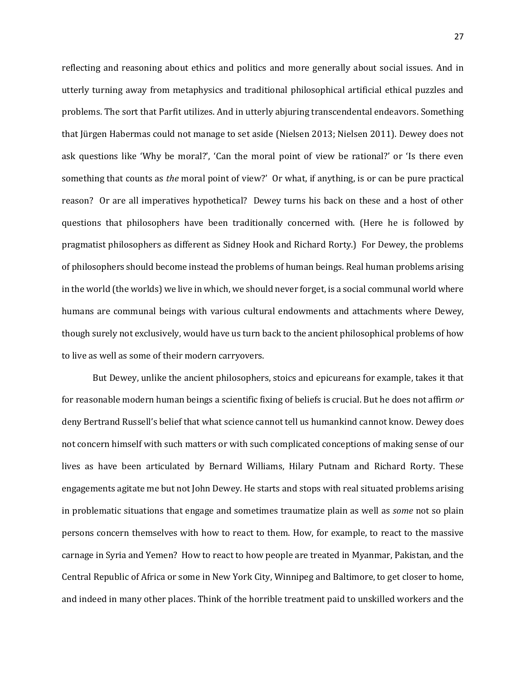reflecting and reasoning about ethics and politics and more generally about social issues. And in utterly turning away from metaphysics and traditional philosophical artificial ethical puzzles and problems. The sort that Parfit utilizes. And in utterly abjuring transcendental endeavors. Something that Jürgen Habermas could not manage to set aside (Nielsen 2013; Nielsen 2011). Dewey does not ask questions like 'Why be moral?', 'Can the moral point of view be rational?' or 'Is there even something that counts as *the* moral point of view?' Or what, if anything, is or can be pure practical reason? Or are all imperatives hypothetical? Dewey turns his back on these and a host of other questions that philosophers have been traditionally concerned with. (Here he is followed by pragmatist philosophers as different as Sidney Hook and Richard Rorty.) For Dewey, the problems of philosophers should become instead the problems of human beings. Real human problems arising in the world (the worlds) we live in which, we should never forget, is a social communal world where humans are communal beings with various cultural endowments and attachments where Dewey, though surely not exclusively, would have us turn back to the ancient philosophical problems of how to live as well as some of their modern carryovers.

But Dewey, unlike the ancient philosophers, stoics and epicureans for example, takes it that for reasonable modern human beings a scientific fixing of beliefs is crucial. But he does not affirm *or* deny Bertrand Russell's belief that what science cannot tell us humankind cannot know. Dewey does not concern himself with such matters or with such complicated conceptions of making sense of our lives as have been articulated by Bernard Williams, Hilary Putnam and Richard Rorty. These engagements agitate me but not John Dewey. He starts and stops with real situated problems arising in problematic situations that engage and sometimes traumatize plain as well as *some* not so plain persons concern themselves with how to react to them. How, for example, to react to the massive carnage in Syria and Yemen? How to react to how people are treated in Myanmar, Pakistan, and the Central Republic of Africa or some in New York City, Winnipeg and Baltimore, to get closer to home, and indeed in many other places. Think of the horrible treatment paid to unskilled workers and the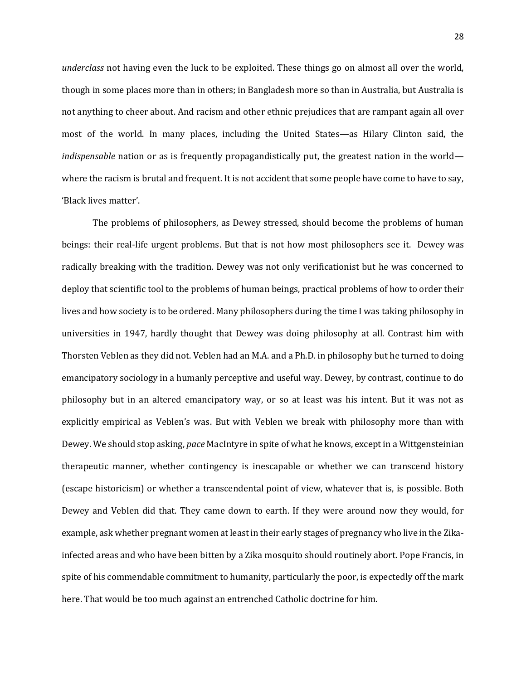*underclass* not having even the luck to be exploited. These things go on almost all over the world, though in some places more than in others; in Bangladesh more so than in Australia, but Australia is not anything to cheer about. And racism and other ethnic prejudices that are rampant again all over most of the world. In many places, including the United States—as Hilary Clinton said, the *indispensable* nation or as is frequently propagandistically put, the greatest nation in the world where the racism is brutal and frequent. It is not accident that some people have come to have to say, 'Black lives matter'.

The problems of philosophers, as Dewey stressed, should become the problems of human beings: their real-life urgent problems. But that is not how most philosophers see it. Dewey was radically breaking with the tradition. Dewey was not only verificationist but he was concerned to deploy that scientific tool to the problems of human beings, practical problems of how to order their lives and how society is to be ordered. Many philosophers during the time I was taking philosophy in universities in 1947, hardly thought that Dewey was doing philosophy at all. Contrast him with Thorsten Veblen as they did not. Veblen had an M.A. and a Ph.D. in philosophy but he turned to doing emancipatory sociology in a humanly perceptive and useful way. Dewey, by contrast, continue to do philosophy but in an altered emancipatory way, or so at least was his intent. But it was not as explicitly empirical as Veblen's was. But with Veblen we break with philosophy more than with Dewey. We should stop asking, *pace* MacIntyre in spite of what he knows, except in a Wittgensteinian therapeutic manner, whether contingency is inescapable or whether we can transcend history (escape historicism) or whether a transcendental point of view, whatever that is, is possible. Both Dewey and Veblen did that. They came down to earth. If they were around now they would, for example, ask whether pregnant women at least in their early stages of pregnancy who live in the Zikainfected areas and who have been bitten by a Zika mosquito should routinely abort. Pope Francis, in spite of his commendable commitment to humanity, particularly the poor, is expectedly off the mark here. That would be too much against an entrenched Catholic doctrine for him.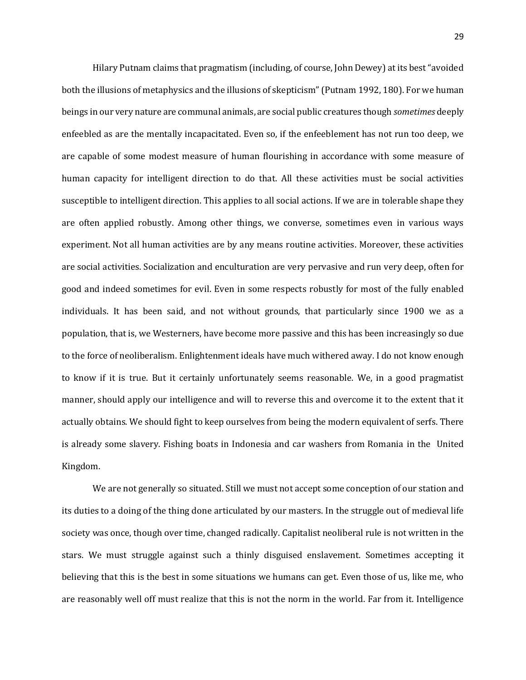Hilary Putnam claims that pragmatism (including, of course, John Dewey) at its best "avoided both the illusions of metaphysics and the illusions of skepticism" (Putnam 1992, 180). For we human beings in our very nature are communal animals, are social public creatures though *sometimes* deeply enfeebled as are the mentally incapacitated. Even so, if the enfeeblement has not run too deep, we are capable of some modest measure of human flourishing in accordance with some measure of human capacity for intelligent direction to do that. All these activities must be social activities susceptible to intelligent direction. This applies to all social actions. If we are in tolerable shape they are often applied robustly. Among other things, we converse, sometimes even in various ways experiment. Not all human activities are by any means routine activities. Moreover, these activities are social activities. Socialization and enculturation are very pervasive and run very deep, often for good and indeed sometimes for evil. Even in some respects robustly for most of the fully enabled individuals. It has been said, and not without grounds, that particularly since 1900 we as a population, that is, we Westerners, have become more passive and this has been increasingly so due to the force of neoliberalism. Enlightenment ideals have much withered away. I do not know enough to know if it is true. But it certainly unfortunately seems reasonable. We, in a good pragmatist manner, should apply our intelligence and will to reverse this and overcome it to the extent that it actually obtains. We should fight to keep ourselves from being the modern equivalent of serfs. There is already some slavery. Fishing boats in Indonesia and car washers from Romania in the United Kingdom.

We are not generally so situated. Still we must not accept some conception of our station and its duties to a doing of the thing done articulated by our masters. In the struggle out of medieval life society was once, though over time, changed radically. Capitalist neoliberal rule is not written in the stars. We must struggle against such a thinly disguised enslavement. Sometimes accepting it believing that this is the best in some situations we humans can get. Even those of us, like me, who are reasonably well off must realize that this is not the norm in the world. Far from it. Intelligence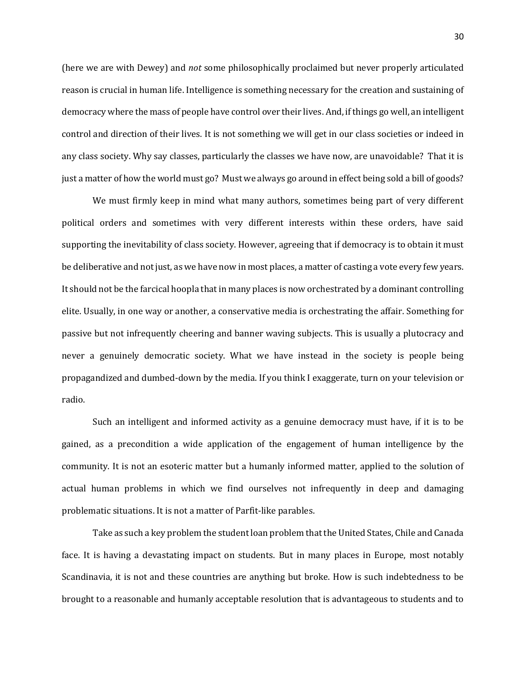(here we are with Dewey) and *not* some philosophically proclaimed but never properly articulated reason is crucial in human life. Intelligence is something necessary for the creation and sustaining of democracy where the mass of people have control over their lives. And, if things go well, an intelligent control and direction of their lives. It is not something we will get in our class societies or indeed in any class society. Why say classes, particularly the classes we have now, are unavoidable? That it is just a matter of how the world must go? Must we always go around in effect being sold a bill of goods?

We must firmly keep in mind what many authors, sometimes being part of very different political orders and sometimes with very different interests within these orders, have said supporting the inevitability of class society. However, agreeing that if democracy is to obtain it must be deliberative and not just, as we have now in most places, a matter of casting a vote every few years. It should not be the farcical hoopla that in many places is now orchestrated by a dominant controlling elite. Usually, in one way or another, a conservative media is orchestrating the affair. Something for passive but not infrequently cheering and banner waving subjects. This is usually a plutocracy and never a genuinely democratic society. What we have instead in the society is people being propagandized and dumbed-down by the media. If you think I exaggerate, turn on your television or radio.

Such an intelligent and informed activity as a genuine democracy must have, if it is to be gained, as a precondition a wide application of the engagement of human intelligence by the community. It is not an esoteric matter but a humanly informed matter, applied to the solution of actual human problems in which we find ourselves not infrequently in deep and damaging problematic situations. It is not a matter of Parfit-like parables.

Take as such a key problem the student loan problem that the United States, Chile and Canada face. It is having a devastating impact on students. But in many places in Europe, most notably Scandinavia, it is not and these countries are anything but broke. How is such indebtedness to be brought to a reasonable and humanly acceptable resolution that is advantageous to students and to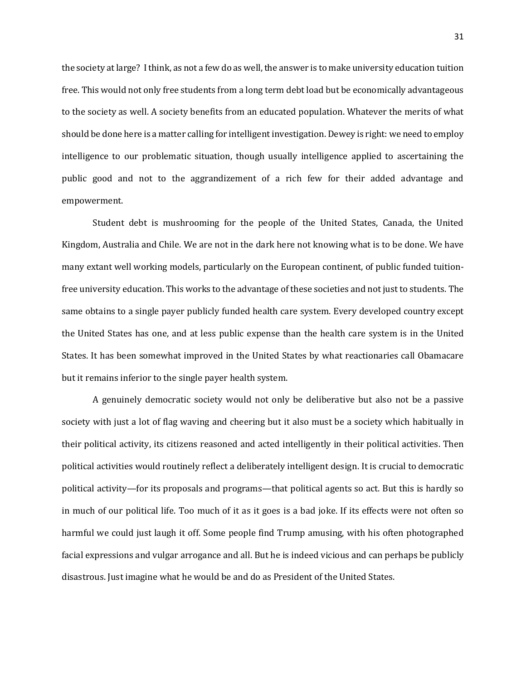the society at large? I think, as not a few do as well, the answer is to make university education tuition free. This would not only free students from a long term debt load but be economically advantageous to the society as well. A society benefits from an educated population. Whatever the merits of what should be done here is a matter calling for intelligent investigation. Dewey is right: we need to employ intelligence to our problematic situation, though usually intelligence applied to ascertaining the public good and not to the aggrandizement of a rich few for their added advantage and empowerment.

Student debt is mushrooming for the people of the United States, Canada, the United Kingdom, Australia and Chile. We are not in the dark here not knowing what is to be done. We have many extant well working models, particularly on the European continent, of public funded tuitionfree university education. This works to the advantage of these societies and not just to students. The same obtains to a single payer publicly funded health care system. Every developed country except the United States has one, and at less public expense than the health care system is in the United States. It has been somewhat improved in the United States by what reactionaries call Obamacare but it remains inferior to the single payer health system.

A genuinely democratic society would not only be deliberative but also not be a passive society with just a lot of flag waving and cheering but it also must be a society which habitually in their political activity, its citizens reasoned and acted intelligently in their political activities. Then political activities would routinely reflect a deliberately intelligent design. It is crucial to democratic political activity—for its proposals and programs—that political agents so act. But this is hardly so in much of our political life. Too much of it as it goes is a bad joke. If its effects were not often so harmful we could just laugh it off. Some people find Trump amusing, with his often photographed facial expressions and vulgar arrogance and all. But he is indeed vicious and can perhaps be publicly disastrous. Just imagine what he would be and do as President of the United States.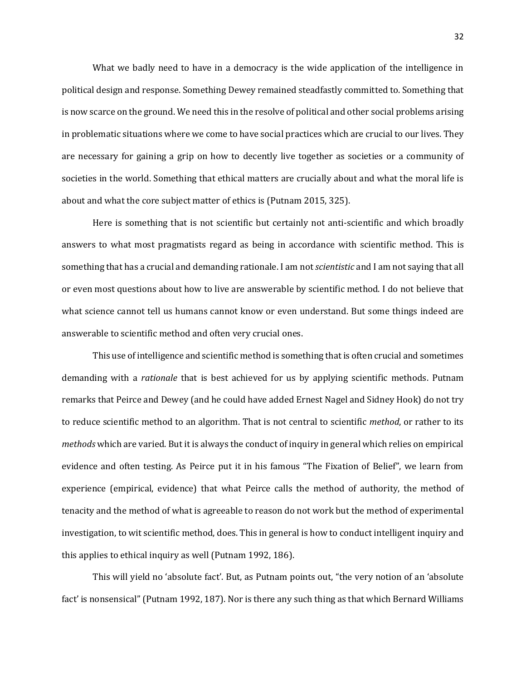What we badly need to have in a democracy is the wide application of the intelligence in political design and response. Something Dewey remained steadfastly committed to. Something that is now scarce on the ground. We need this in the resolve of political and other social problems arising in problematic situations where we come to have social practices which are crucial to our lives. They are necessary for gaining a grip on how to decently live together as societies or a community of societies in the world. Something that ethical matters are crucially about and what the moral life is about and what the core subject matter of ethics is (Putnam 2015, 325).

Here is something that is not scientific but certainly not anti-scientific and which broadly answers to what most pragmatists regard as being in accordance with scientific method. This is something that has a crucial and demanding rationale. I am not *scientistic* and I am not saying that all or even most questions about how to live are answerable by scientific method. I do not believe that what science cannot tell us humans cannot know or even understand. But some things indeed are answerable to scientific method and often very crucial ones.

This use of intelligence and scientific method is something that is often crucial and sometimes demanding with a *rationale* that is best achieved for us by applying scientific methods. Putnam remarks that Peirce and Dewey (and he could have added Ernest Nagel and Sidney Hook) do not try to reduce scientific method to an algorithm. That is not central to scientific *method*, or rather to its *methods* which are varied. But it is always the conduct of inquiry in general which relies on empirical evidence and often testing. As Peirce put it in his famous "The Fixation of Belief", we learn from experience (empirical, evidence) that what Peirce calls the method of authority, the method of tenacity and the method of what is agreeable to reason do not work but the method of experimental investigation, to wit scientific method, does. This in general is how to conduct intelligent inquiry and this applies to ethical inquiry as well (Putnam 1992, 186).

This will yield no 'absolute fact'. But, as Putnam points out, "the very notion of an 'absolute fact' is nonsensical" (Putnam 1992, 187). Nor is there any such thing as that which Bernard Williams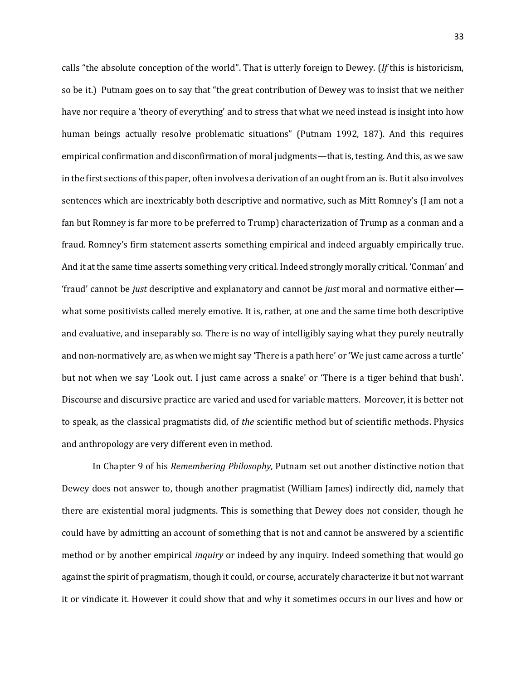calls "the absolute conception of the world". That is utterly foreign to Dewey. (*If* this is historicism, so be it.) Putnam goes on to say that "the great contribution of Dewey was to insist that we neither have nor require a 'theory of everything' and to stress that what we need instead is insight into how human beings actually resolve problematic situations" (Putnam 1992, 187). And this requires empirical confirmation and disconfirmation of moral judgments—that is, testing. And this, as we saw in the first sections of this paper, often involves a derivation of an ought from an is. But it also involves sentences which are inextricably both descriptive and normative, such as Mitt Romney's (I am not a fan but Romney is far more to be preferred to Trump) characterization of Trump as a conman and a fraud. Romney's firm statement asserts something empirical and indeed arguably empirically true. And it at the same time asserts something very critical. Indeed strongly morally critical. 'Conman' and 'fraud' cannot be *just* descriptive and explanatory and cannot be *just* moral and normative either what some positivists called merely emotive. It is, rather, at one and the same time both descriptive and evaluative, and inseparably so. There is no way of intelligibly saying what they purely neutrally and non-normatively are, as when we might say 'There is a path here' or 'We just came across a turtle' but not when we say 'Look out. I just came across a snake' or 'There is a tiger behind that bush'. Discourse and discursive practice are varied and used for variable matters. Moreover, it is better not to speak, as the classical pragmatists did, of *the* scientific method but of scientific methods. Physics and anthropology are very different even in method.

In Chapter 9 of his *Remembering Philosophy,* Putnam set out another distinctive notion that Dewey does not answer to, though another pragmatist (William James) indirectly did, namely that there are existential moral judgments. This is something that Dewey does not consider, though he could have by admitting an account of something that is not and cannot be answered by a scientific method or by another empirical *inquiry* or indeed by any inquiry. Indeed something that would go against the spirit of pragmatism, though it could, or course, accurately characterize it but not warrant it or vindicate it. However it could show that and why it sometimes occurs in our lives and how or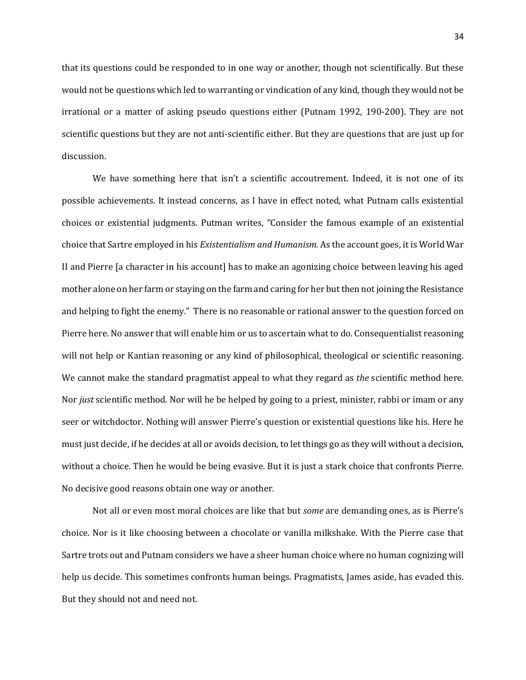that its questions could be responded to in one way or another, though not scientifically. But these would not be questions which led to warranting or vindication of any kind, though they would not be irrational or a matter of asking pseudo questions either (Putnam 1992, 190-200). They are not scientific questions but they are not anti-scientific either. But they are questions that are just up for discussion.

We have something here that isn't a scientific accoutrement. Indeed, it is not one of its possible achievements. It instead concerns, as I have in effect noted, what Putnam calls existential choices or existential judgments. Putman writes, "Consider the famous example of an existential choice that Sartre employed in his *Existentialism and Humanism.* As the account goes, it is World War II and Pierre [a character in his account] has to make an agonizing choice between leaving his aged mother alone on her farm or staying on the farm and caring for her but then not joining the Resistance and helping to fight the enemy." There is no reasonable or rational answer to the question forced on Pierre here. No answer that will enable him or us to ascertain what to do. Consequentialist reasoning will not help or Kantian reasoning or any kind of philosophical, theological or scientific reasoning. We cannot make the standard pragmatist appeal to what they regard as *the* scientific method here. Nor *just* scientific method. Nor will he be helped by going to a priest, minister, rabbi or imam or any seer or witchdoctor. Nothing will answer Pierre's question or existential questions like his. Here he must just decide, if he decides at all or avoids decision, to let things go as they will without a decision, without a choice. Then he would be being evasive. But it is just a stark choice that confronts Pierre. No decisive good reasons obtain one way or another.

Not all or even most moral choices are like that but *some* are demanding ones, as is Pierre's choice. Nor is it like choosing between a chocolate or vanilla milkshake. With the Pierre case that Sartre trots out and Putnam considers we have a sheer human choice where no human cognizing will help us decide. This sometimes confronts human beings. Pragmatists, James aside, has evaded this. But they should not and need not.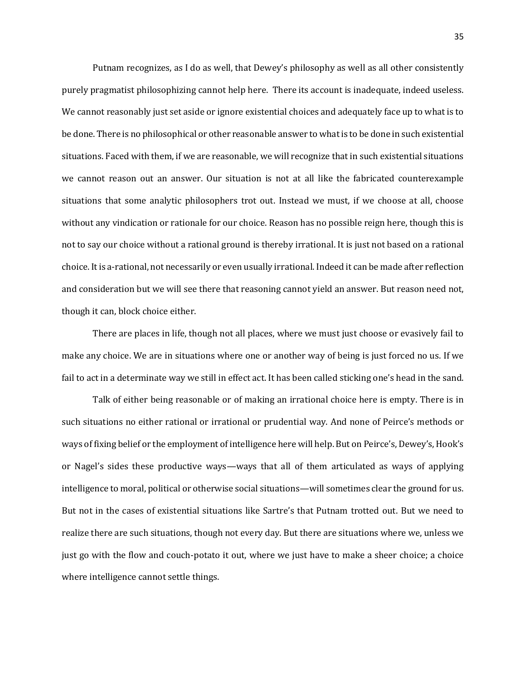Putnam recognizes, as I do as well, that Dewey's philosophy as well as all other consistently purely pragmatist philosophizing cannot help here. There its account is inadequate, indeed useless. We cannot reasonably just set aside or ignore existential choices and adequately face up to what is to be done. There is no philosophical or other reasonable answer to what is to be done in such existential situations. Faced with them, if we are reasonable, we will recognize that in such existential situations we cannot reason out an answer. Our situation is not at all like the fabricated counterexample situations that some analytic philosophers trot out. Instead we must, if we choose at all, choose without any vindication or rationale for our choice. Reason has no possible reign here, though this is not to say our choice without a rational ground is thereby irrational. It is just not based on a rational choice. It is a-rational, not necessarily or even usually irrational. Indeed it can be made after reflection and consideration but we will see there that reasoning cannot yield an answer. But reason need not, though it can, block choice either.

There are places in life, though not all places, where we must just choose or evasively fail to make any choice. We are in situations where one or another way of being is just forced no us. If we fail to act in a determinate way we still in effect act. It has been called sticking one's head in the sand.

Talk of either being reasonable or of making an irrational choice here is empty. There is in such situations no either rational or irrational or prudential way. And none of Peirce's methods or ways of fixing belief or the employment of intelligence here will help. But on Peirce's, Dewey's, Hook's or Nagel's sides these productive ways—ways that all of them articulated as ways of applying intelligence to moral, political or otherwise social situations—will sometimes clear the ground for us. But not in the cases of existential situations like Sartre's that Putnam trotted out. But we need to realize there are such situations, though not every day. But there are situations where we, unless we just go with the flow and couch-potato it out, where we just have to make a sheer choice; a choice where intelligence cannot settle things.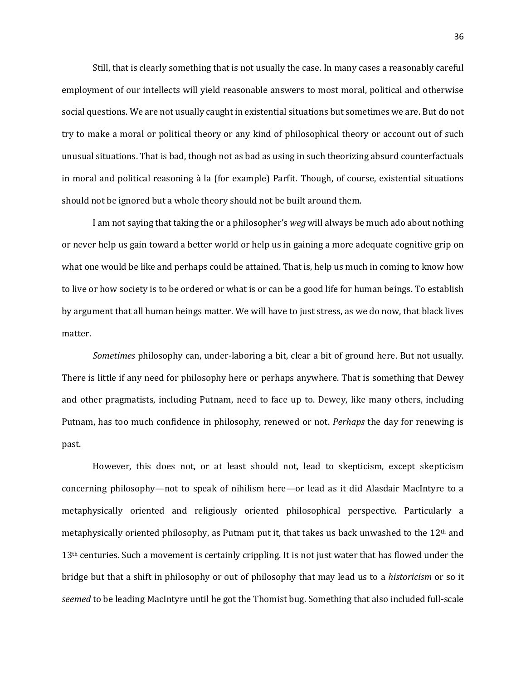Still, that is clearly something that is not usually the case. In many cases a reasonably careful employment of our intellects will yield reasonable answers to most moral, political and otherwise social questions. We are not usually caught in existential situations but sometimes we are. But do not try to make a moral or political theory or any kind of philosophical theory or account out of such unusual situations. That is bad, though not as bad as using in such theorizing absurd counterfactuals in moral and political reasoning à la (for example) Parfit. Though, of course, existential situations should not be ignored but a whole theory should not be built around them.

I am not saying that taking the or a philosopher's *weg* will always be much ado about nothing or never help us gain toward a better world or help us in gaining a more adequate cognitive grip on what one would be like and perhaps could be attained. That is, help us much in coming to know how to live or how society is to be ordered or what is or can be a good life for human beings. To establish by argument that all human beings matter. We will have to just stress, as we do now, that black lives matter.

*Sometimes* philosophy can, under-laboring a bit, clear a bit of ground here. But not usually. There is little if any need for philosophy here or perhaps anywhere. That is something that Dewey and other pragmatists, including Putnam, need to face up to. Dewey, like many others, including Putnam, has too much confidence in philosophy, renewed or not. *Perhaps* the day for renewing is past.

However, this does not, or at least should not, lead to skepticism, except skepticism concerning philosophy—not to speak of nihilism here—or lead as it did Alasdair MacIntyre to a metaphysically oriented and religiously oriented philosophical perspective. Particularly a metaphysically oriented philosophy, as Putnam put it, that takes us back unwashed to the 12th and 13<sup>th</sup> centuries. Such a movement is certainly crippling. It is not just water that has flowed under the bridge but that a shift in philosophy or out of philosophy that may lead us to a *historicism* or so it *seemed* to be leading MacIntyre until he got the Thomist bug. Something that also included full-scale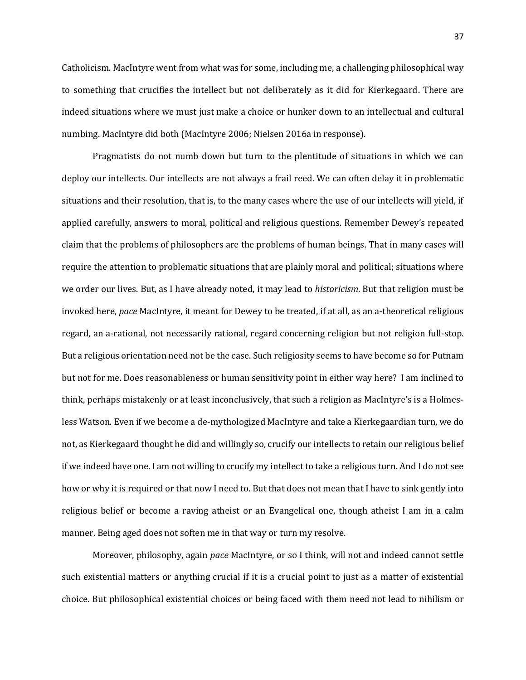Catholicism. MacIntyre went from what was for some, including me, a challenging philosophical way to something that crucifies the intellect but not deliberately as it did for Kierkegaard. There are indeed situations where we must just make a choice or hunker down to an intellectual and cultural numbing. MacIntyre did both (MacIntyre 2006; Nielsen 2016a in response).

Pragmatists do not numb down but turn to the plentitude of situations in which we can deploy our intellects. Our intellects are not always a frail reed. We can often delay it in problematic situations and their resolution, that is, to the many cases where the use of our intellects will yield, if applied carefully, answers to moral, political and religious questions. Remember Dewey's repeated claim that the problems of philosophers are the problems of human beings. That in many cases will require the attention to problematic situations that are plainly moral and political; situations where we order our lives. But, as I have already noted, it may lead to *historicism*. But that religion must be invoked here, *pace* MacIntyre, it meant for Dewey to be treated, if at all, as an a-theoretical religious regard, an a-rational, not necessarily rational, regard concerning religion but not religion full-stop. But a religious orientation need not be the case. Such religiosity seems to have become so for Putnam but not for me. Does reasonableness or human sensitivity point in either way here? I am inclined to think, perhaps mistakenly or at least inconclusively, that such a religion as MacIntyre's is a Holmesless Watson. Even if we become a de-mythologized MacIntyre and take a Kierkegaardian turn, we do not, as Kierkegaard thought he did and willingly so, crucify our intellects to retain our religious belief if we indeed have one. I am not willing to crucify my intellect to take a religious turn. And I do not see how or why it is required or that now I need to. But that does not mean that I have to sink gently into religious belief or become a raving atheist or an Evangelical one, though atheist I am in a calm manner. Being aged does not soften me in that way or turn my resolve.

Moreover, philosophy, again *pace* MacIntyre, or so I think, will not and indeed cannot settle such existential matters or anything crucial if it is a crucial point to just as a matter of existential choice. But philosophical existential choices or being faced with them need not lead to nihilism or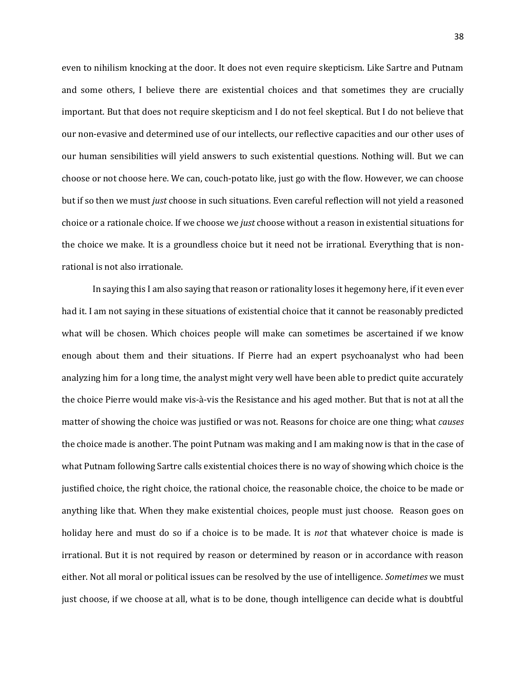even to nihilism knocking at the door. It does not even require skepticism. Like Sartre and Putnam and some others, I believe there are existential choices and that sometimes they are crucially important. But that does not require skepticism and I do not feel skeptical. But I do not believe that our non-evasive and determined use of our intellects, our reflective capacities and our other uses of our human sensibilities will yield answers to such existential questions. Nothing will. But we can choose or not choose here. We can, couch-potato like, just go with the flow. However, we can choose but if so then we must *just* choose in such situations. Even careful reflection will not yield a reasoned choice or a rationale choice. If we choose we *just* choose without a reason in existential situations for the choice we make. It is a groundless choice but it need not be irrational. Everything that is nonrational is not also irrationale.

In saying this I am also saying that reason or rationality loses it hegemony here, if it even ever had it. I am not saying in these situations of existential choice that it cannot be reasonably predicted what will be chosen. Which choices people will make can sometimes be ascertained if we know enough about them and their situations. If Pierre had an expert psychoanalyst who had been analyzing him for a long time, the analyst might very well have been able to predict quite accurately the choice Pierre would make vis-à-vis the Resistance and his aged mother. But that is not at all the matter of showing the choice was justified or was not. Reasons for choice are one thing; what *causes*  the choice made is another. The point Putnam was making and I am making now is that in the case of what Putnam following Sartre calls existential choices there is no way of showing which choice is the justified choice, the right choice, the rational choice, the reasonable choice, the choice to be made or anything like that. When they make existential choices, people must just choose. Reason goes on holiday here and must do so if a choice is to be made. It is *not* that whatever choice is made is irrational. But it is not required by reason or determined by reason or in accordance with reason either. Not all moral or political issues can be resolved by the use of intelligence. *Sometimes* we must just choose, if we choose at all, what is to be done, though intelligence can decide what is doubtful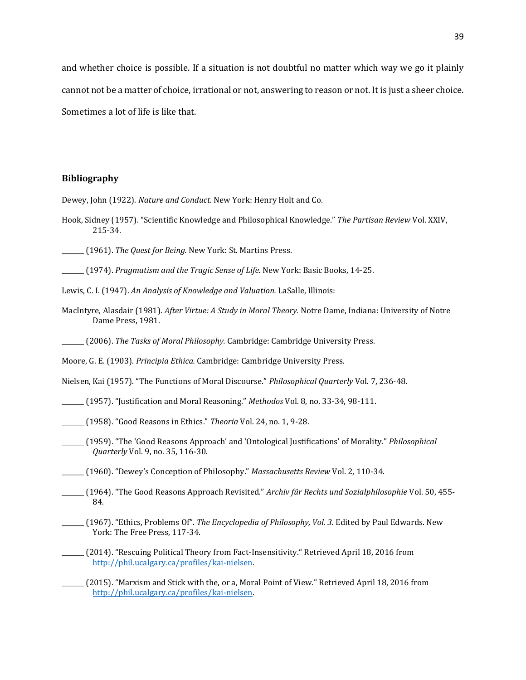and whether choice is possible. If a situation is not doubtful no matter which way we go it plainly cannot not be a matter of choice, irrational or not, answering to reason or not. It is just a sheer choice. Sometimes a lot of life is like that.

## **Bibliography**

Dewey, John (1922). *Nature and Conduct.* New York: Henry Holt and Co.

- Hook, Sidney (1957). "Scientific Knowledge and Philosophical Knowledge." *The Partisan Review* Vol. XXIV, 215-34.
- \_\_\_\_\_\_\_ (1961). *The Quest for Being.* New York: St. Martins Press.

\_\_\_\_\_\_\_ (1974). *Pragmatism and the Tragic Sense of Life.* New York: Basic Books, 14-25.

- Lewis, C. I. (1947). *An Analysis of Knowledge and Valuation.* LaSalle, Illinois:
- MacIntyre, Alasdair (1981). *After Virtue: A Study in Moral Theory.* Notre Dame, Indiana: University of Notre Dame Press, 1981.

\_\_\_\_\_\_\_ (2006). *The Tasks of Moral Philosophy.* Cambridge: Cambridge University Press.

Moore, G. E. (1903). *Principia Ethica.* Cambridge: Cambridge University Press.

Nielsen, Kai (1957). "The Functions of Moral Discourse." *Philosophical Quarterly* Vol. 7, 236-48.

\_\_\_\_\_\_\_ (1957). "Justification and Moral Reasoning." *Methodos* Vol. 8, no. 33-34, 98-111.

- \_\_\_\_\_\_\_ (1958). "Good Reasons in Ethics." *Theoria* Vol. 24, no. 1, 9-28.
- \_\_\_\_\_\_\_ (1959). "The 'Good Reasons Approach' and 'Ontological Justifications' of Morality." *Philosophical Quarterly* Vol. 9, no. 35, 116-30.

\_\_\_\_\_\_\_ (1960). "Dewey's Conception of Philosophy." *Massachusetts Review* Vol. 2, 110-34.

- \_\_\_\_\_\_\_ (1964). "The Good Reasons Approach Revisited." *Archiv für Rechts und Sozialphilosophie* Vol. 50, 455- 84.
- \_\_\_\_\_\_\_ (1967). "Ethics, Problems Of". *The Encyclopedia of Philosophy, Vol. 3.* Edited by Paul Edwards. New York: The Free Press, 117-34.
- \_\_\_\_\_\_\_ (2014). "Rescuing Political Theory from Fact-Insensitivity." Retrieved April 18, 2016 from [http://phil.ucalgary.ca/profiles/kai-nielsen.](http://phil.ucalgary.ca/profiles/kai-nielsen)
- \_\_\_\_\_\_\_ (2015). "Marxism and Stick with the, or a, Moral Point of View." Retrieved April 18, 2016 from [http://phil.ucalgary.ca/profiles/kai-nielsen.](http://phil.ucalgary.ca/profiles/kai-nielsen)